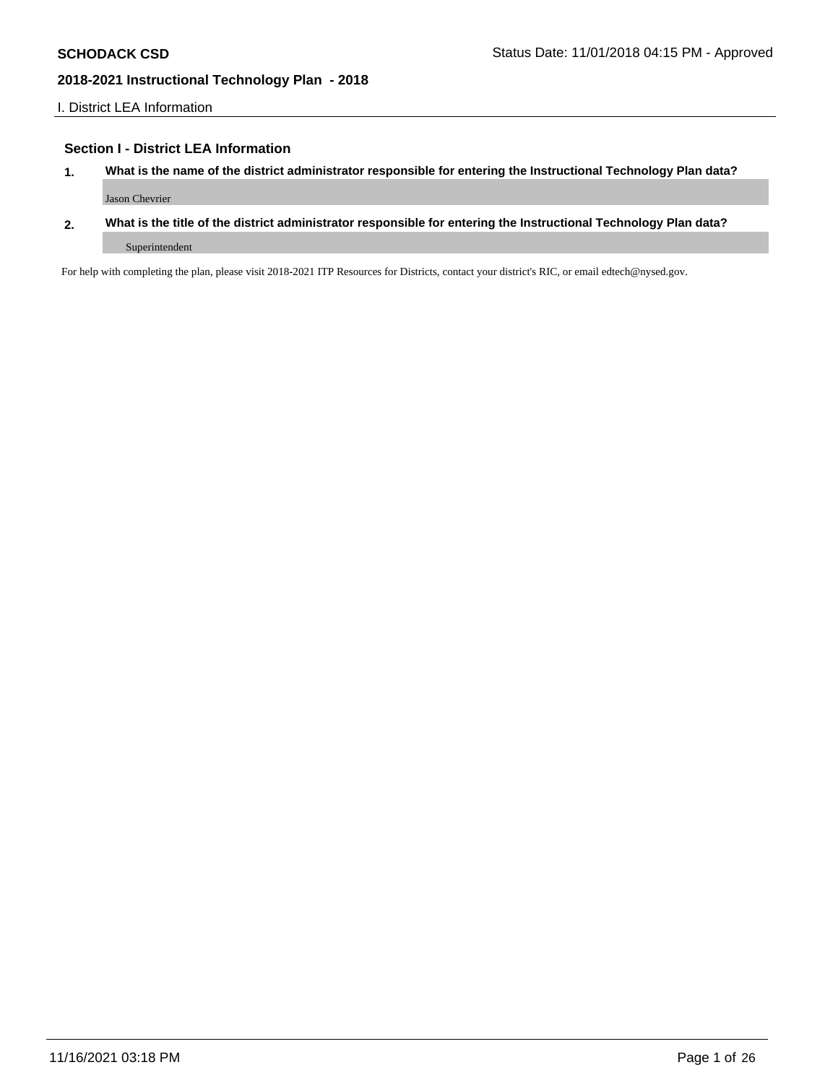I. District LEA Information

## **Section I - District LEA Information**

- **1. What is the name of the district administrator responsible for entering the Instructional Technology Plan data?** Jason Chevrier
- **2. What is the title of the district administrator responsible for entering the Instructional Technology Plan data?** Superintendent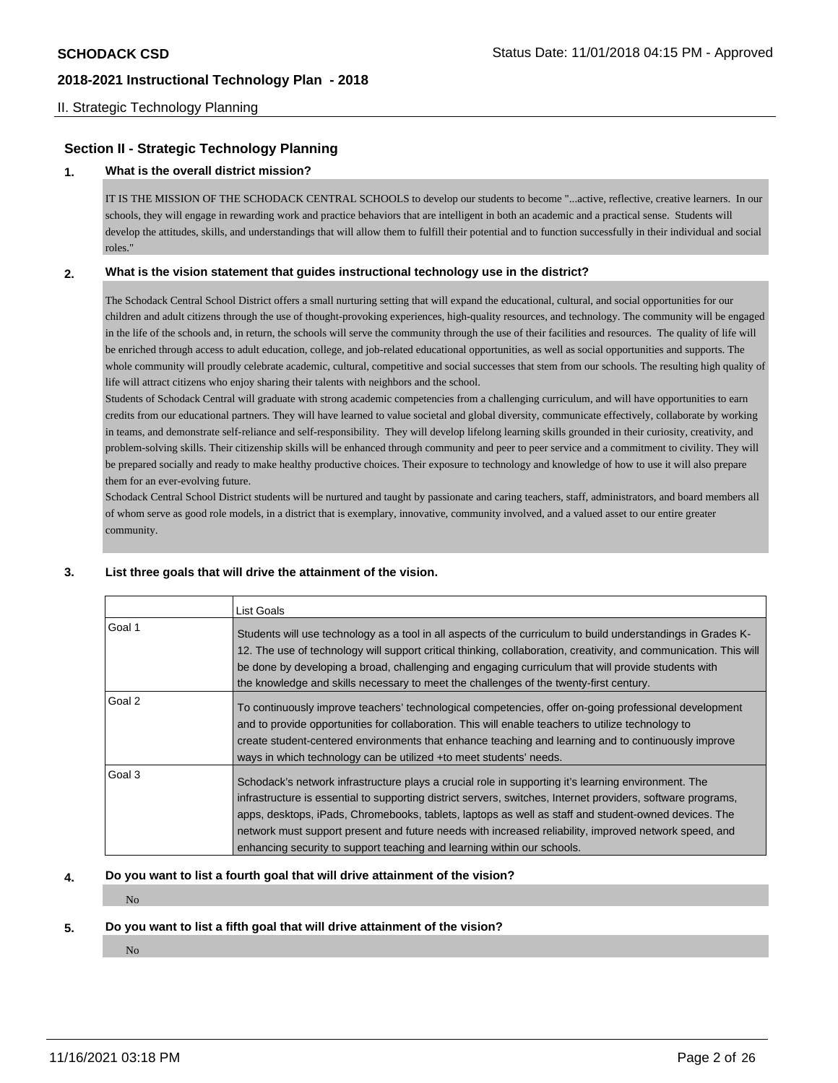## II. Strategic Technology Planning

# **Section II - Strategic Technology Planning**

#### **1. What is the overall district mission?**

IT IS THE MISSION OF THE SCHODACK CENTRAL SCHOOLS to develop our students to become "...active, reflective, creative learners. In our schools, they will engage in rewarding work and practice behaviors that are intelligent in both an academic and a practical sense. Students will develop the attitudes, skills, and understandings that will allow them to fulfill their potential and to function successfully in their individual and social roles."

#### **2. What is the vision statement that guides instructional technology use in the district?**

The Schodack Central School District offers a small nurturing setting that will expand the educational, cultural, and social opportunities for our children and adult citizens through the use of thought-provoking experiences, high-quality resources, and technology. The community will be engaged in the life of the schools and, in return, the schools will serve the community through the use of their facilities and resources. The quality of life will be enriched through access to adult education, college, and job-related educational opportunities, as well as social opportunities and supports. The whole community will proudly celebrate academic, cultural, competitive and social successes that stem from our schools. The resulting high quality of life will attract citizens who enjoy sharing their talents with neighbors and the school.

Students of Schodack Central will graduate with strong academic competencies from a challenging curriculum, and will have opportunities to earn credits from our educational partners. They will have learned to value societal and global diversity, communicate effectively, collaborate by working in teams, and demonstrate self-reliance and self-responsibility. They will develop lifelong learning skills grounded in their curiosity, creativity, and problem-solving skills. Their citizenship skills will be enhanced through community and peer to peer service and a commitment to civility. They will be prepared socially and ready to make healthy productive choices. Their exposure to technology and knowledge of how to use it will also prepare them for an ever-evolving future.

Schodack Central School District students will be nurtured and taught by passionate and caring teachers, staff, administrators, and board members all of whom serve as good role models, in a district that is exemplary, innovative, community involved, and a valued asset to our entire greater community.

#### **3. List three goals that will drive the attainment of the vision.**

|        | List Goals                                                                                                                                                                                                                                                                                                                                                                                                                                                                                                      |
|--------|-----------------------------------------------------------------------------------------------------------------------------------------------------------------------------------------------------------------------------------------------------------------------------------------------------------------------------------------------------------------------------------------------------------------------------------------------------------------------------------------------------------------|
| Goal 1 | Students will use technology as a tool in all aspects of the curriculum to build understandings in Grades K-<br>12. The use of technology will support critical thinking, collaboration, creativity, and communication. This will<br>be done by developing a broad, challenging and engaging curriculum that will provide students with<br>the knowledge and skills necessary to meet the challenges of the twenty-first century.                                                                               |
| Goal 2 | To continuously improve teachers' technological competencies, offer on-going professional development<br>and to provide opportunities for collaboration. This will enable teachers to utilize technology to<br>create student-centered environments that enhance teaching and learning and to continuously improve<br>ways in which technology can be utilized +to meet students' needs.                                                                                                                        |
| Goal 3 | Schodack's network infrastructure plays a crucial role in supporting it's learning environment. The<br>infrastructure is essential to supporting district servers, switches, Internet providers, software programs,<br>apps, desktops, iPads, Chromebooks, tablets, laptops as well as staff and student-owned devices. The<br>network must support present and future needs with increased reliability, improved network speed, and<br>enhancing security to support teaching and learning within our schools. |

#### **4. Do you want to list a fourth goal that will drive attainment of the vision?**

# **5. Do you want to list a fifth goal that will drive attainment of the vision?**

No

No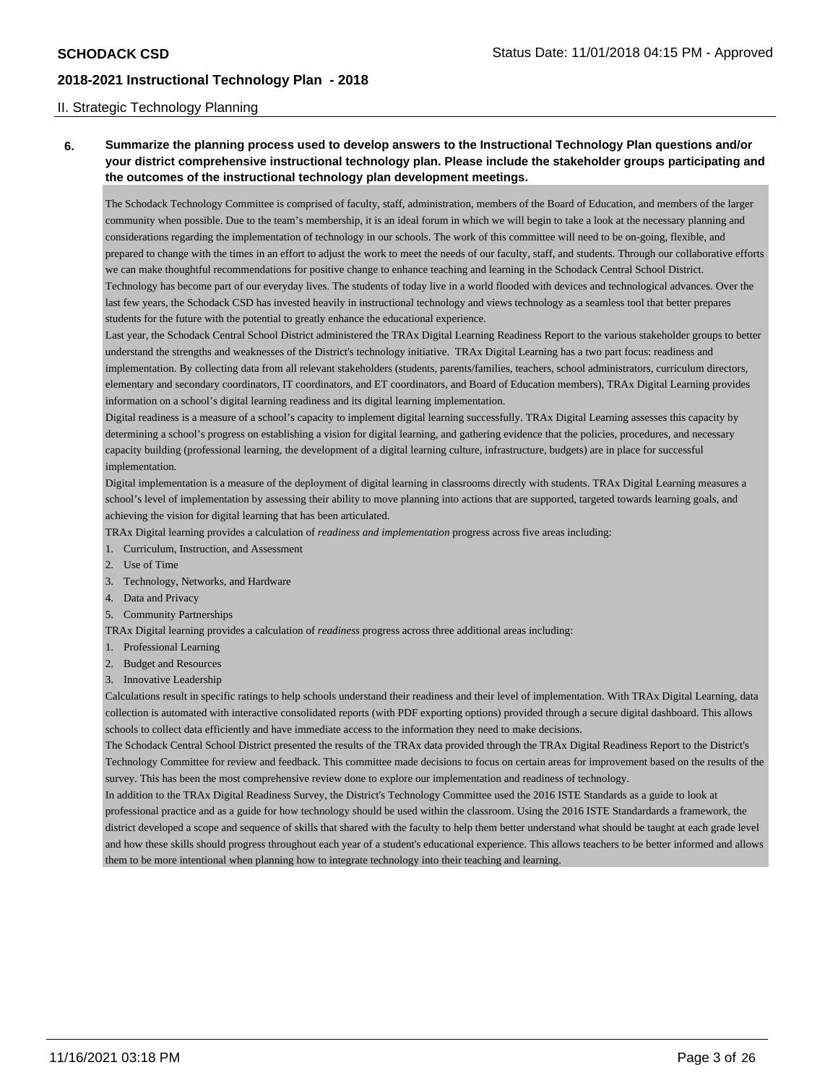#### II. Strategic Technology Planning

# **6. Summarize the planning process used to develop answers to the Instructional Technology Plan questions and/or your district comprehensive instructional technology plan. Please include the stakeholder groups participating and the outcomes of the instructional technology plan development meetings.**

The Schodack Technology Committee is comprised of faculty, staff, administration, members of the Board of Education, and members of the larger community when possible. Due to the team's membership, it is an ideal forum in which we will begin to take a look at the necessary planning and considerations regarding the implementation of technology in our schools. The work of this committee will need to be on-going, flexible, and prepared to change with the times in an effort to adjust the work to meet the needs of our faculty, staff, and students. Through our collaborative efforts we can make thoughtful recommendations for positive change to enhance teaching and learning in the Schodack Central School District. Technology has become part of our everyday lives. The students of today live in a world flooded with devices and technological advances. Over the last few years, the Schodack CSD has invested heavily in instructional technology and views technology as a seamless tool that better prepares students for the future with the potential to greatly enhance the educational experience.

Last year, the Schodack Central School District administered the TRAx Digital Learning Readiness Report to the various stakeholder groups to better understand the strengths and weaknesses of the District's technology initiative. TRAx Digital Learning has a two part focus: readiness and implementation. By collecting data from all relevant stakeholders (students, parents/families, teachers, school administrators, curriculum directors, elementary and secondary coordinators, IT coordinators, and ET coordinators, and Board of Education members), TRAx Digital Learning provides information on a school's digital learning readiness and its digital learning implementation.

Digital readiness is a measure of a school's capacity to implement digital learning successfully. TRAx Digital Learning assesses this capacity by determining a school's progress on establishing a vision for digital learning, and gathering evidence that the policies, procedures, and necessary capacity building (professional learning, the development of a digital learning culture, infrastructure, budgets) are in place for successful implementation.

Digital implementation is a measure of the deployment of digital learning in classrooms directly with students. TRAx Digital Learning measures a school's level of implementation by assessing their ability to move planning into actions that are supported, targeted towards learning goals, and achieving the vision for digital learning that has been articulated.

TRAx Digital learning provides a calculation of *readiness and implementation* progress across five areas including:

- 1. Curriculum, Instruction, and Assessment
- 2. Use of Time
- 3. Technology, Networks, and Hardware
- 4. Data and Privacy
- 5. Community Partnerships

TRAx Digital learning provides a calculation of *readiness* progress across three additional areas including:

- 1. Professional Learning
- 2. Budget and Resources
- 3. Innovative Leadership

Calculations result in specific ratings to help schools understand their readiness and their level of implementation. With TRAx Digital Learning, data collection is automated with interactive consolidated reports (with PDF exporting options) provided through a secure digital dashboard. This allows schools to collect data efficiently and have immediate access to the information they need to make decisions.

The Schodack Central School District presented the results of the TRAx data provided through the TRAx Digital Readiness Report to the District's Technology Committee for review and feedback. This committee made decisions to focus on certain areas for improvement based on the results of the survey. This has been the most comprehensive review done to explore our implementation and readiness of technology.

In addition to the TRAx Digital Readiness Survey, the District's Technology Committee used the 2016 ISTE Standards as a guide to look at professional practice and as a guide for how technology should be used within the classroom. Using the 2016 ISTE Standardards a framework, the district developed a scope and sequence of skills that shared with the faculty to help them better understand what should be taught at each grade level and how these skills should progress throughout each year of a student's educational experience. This allows teachers to be better informed and allows them to be more intentional when planning how to integrate technology into their teaching and learning.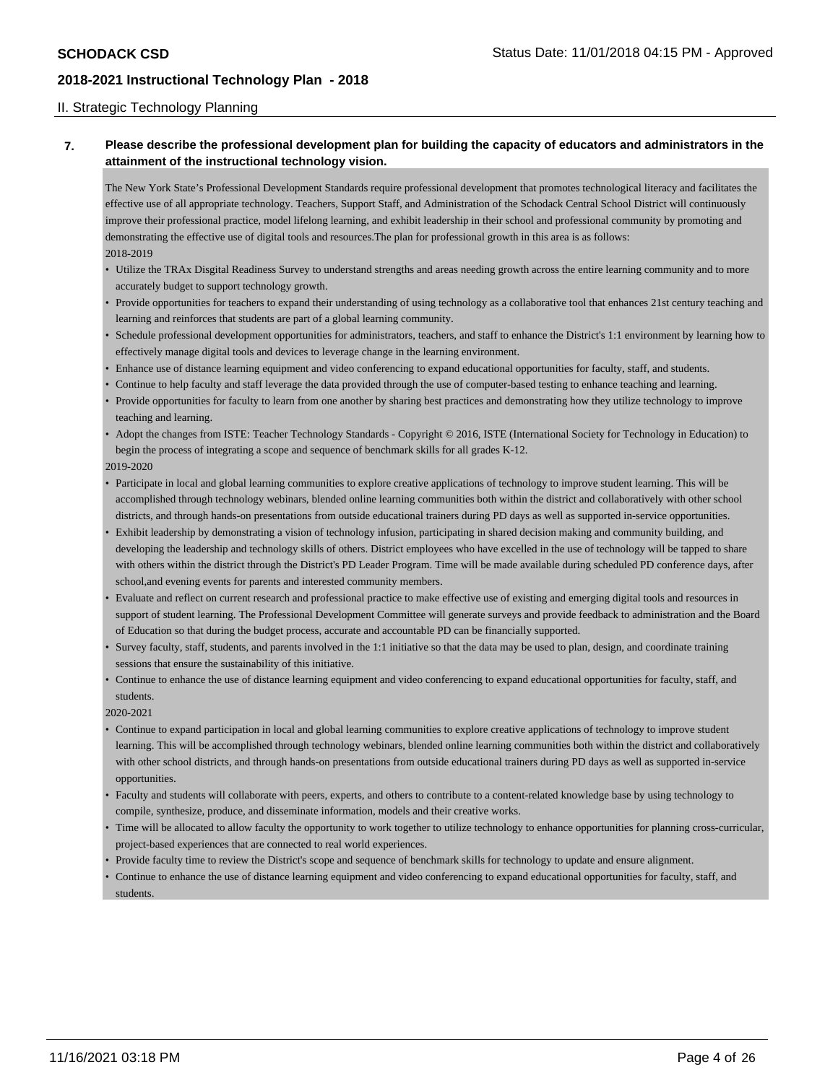#### II. Strategic Technology Planning

## **7. Please describe the professional development plan for building the capacity of educators and administrators in the attainment of the instructional technology vision.**

The New York State's Professional Development Standards require professional development that promotes technological literacy and facilitates the effective use of all appropriate technology. Teachers, Support Staff, and Administration of the Schodack Central School District will continuously improve their professional practice, model lifelong learning, and exhibit leadership in their school and professional community by promoting and demonstrating the effective use of digital tools and resources.The plan for professional growth in this area is as follows: 2018-2019

- Utilize the TRAx Disgital Readiness Survey to understand strengths and areas needing growth across the entire learning community and to more accurately budget to support technology growth.
- Provide opportunities for teachers to expand their understanding of using technology as a collaborative tool that enhances 21st century teaching and learning and reinforces that students are part of a global learning community.
- Schedule professional development opportunities for administrators, teachers, and staff to enhance the District's 1:1 environment by learning how to effectively manage digital tools and devices to leverage change in the learning environment.
- Enhance use of distance learning equipment and video conferencing to expand educational opportunities for faculty, staff, and students.
- Continue to help faculty and staff leverage the data provided through the use of computer-based testing to enhance teaching and learning.
- Provide opportunities for faculty to learn from one another by sharing best practices and demonstrating how they utilize technology to improve teaching and learning.
- Adopt the changes from ISTE: Teacher Technology Standards Copyright © 2016, ISTE (International Society for Technology in Education) to begin the process of integrating a scope and sequence of benchmark skills for all grades K-12.

#### 2019-2020

- Participate in local and global learning communities to explore creative applications of technology to improve student learning. This will be accomplished through technology webinars, blended online learning communities both within the district and collaboratively with other school districts, and through hands-on presentations from outside educational trainers during PD days as well as supported in-service opportunities.
- Exhibit leadership by demonstrating a vision of technology infusion, participating in shared decision making and community building, and developing the leadership and technology skills of others. District employees who have excelled in the use of technology will be tapped to share with others within the district through the District's PD Leader Program. Time will be made available during scheduled PD conference days, after school,and evening events for parents and interested community members.
- Evaluate and reflect on current research and professional practice to make effective use of existing and emerging digital tools and resources in support of student learning. The Professional Development Committee will generate surveys and provide feedback to administration and the Board of Education so that during the budget process, accurate and accountable PD can be financially supported.
- Survey faculty, staff, students, and parents involved in the 1:1 initiative so that the data may be used to plan, design, and coordinate training sessions that ensure the sustainability of this initiative.
- Continue to enhance the use of distance learning equipment and video conferencing to expand educational opportunities for faculty, staff, and students.

#### 2020-2021

- Continue to expand participation in local and global learning communities to explore creative applications of technology to improve student learning. This will be accomplished through technology webinars, blended online learning communities both within the district and collaboratively with other school districts, and through hands-on presentations from outside educational trainers during PD days as well as supported in-service opportunities.
- Faculty and students will collaborate with peers, experts, and others to contribute to a content-related knowledge base by using technology to compile, synthesize, produce, and disseminate information, models and their creative works.
- Time will be allocated to allow faculty the opportunity to work together to utilize technology to enhance opportunities for planning cross-curricular, project-based experiences that are connected to real world experiences.
- Provide faculty time to review the District's scope and sequence of benchmark skills for technology to update and ensure alignment.
- Continue to enhance the use of distance learning equipment and video conferencing to expand educational opportunities for faculty, staff, and students.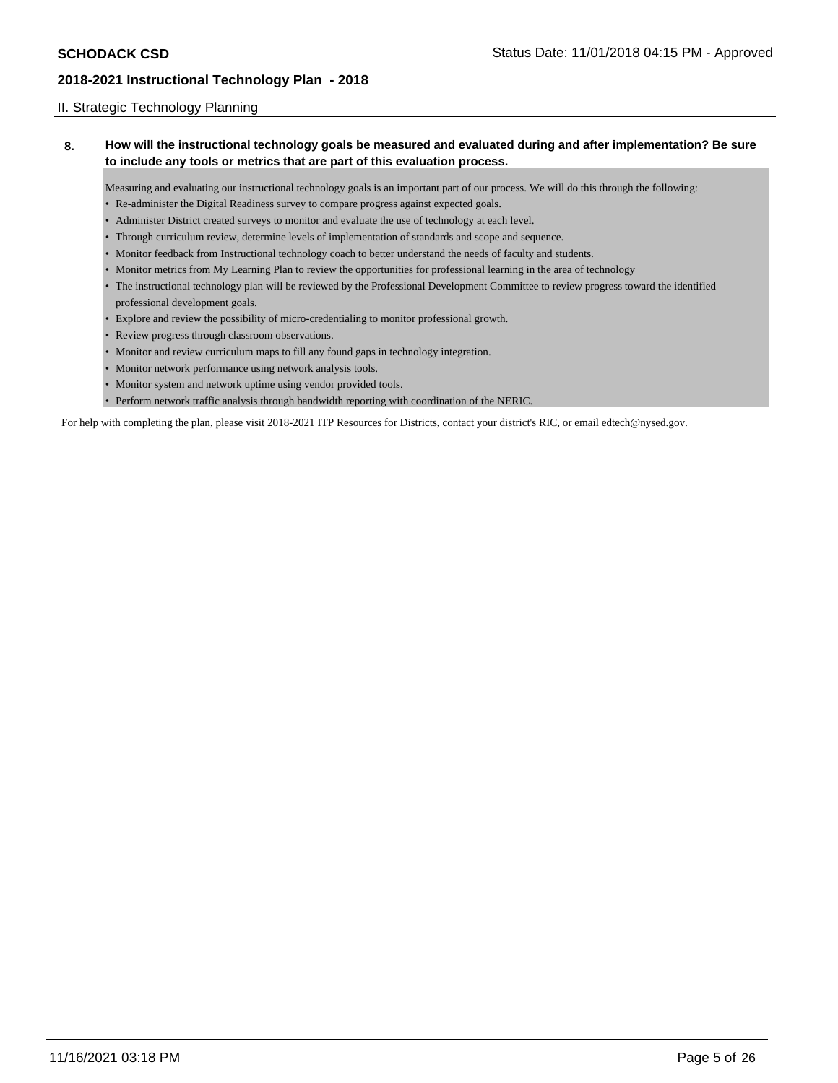#### II. Strategic Technology Planning

# **8. How will the instructional technology goals be measured and evaluated during and after implementation? Be sure to include any tools or metrics that are part of this evaluation process.**

Measuring and evaluating our instructional technology goals is an important part of our process. We will do this through the following:

- Re-administer the Digital Readiness survey to compare progress against expected goals.
- Administer District created surveys to monitor and evaluate the use of technology at each level.
- Through curriculum review, determine levels of implementation of standards and scope and sequence.
- Monitor feedback from Instructional technology coach to better understand the needs of faculty and students.
- Monitor metrics from My Learning Plan to review the opportunities for professional learning in the area of technology
- The instructional technology plan will be reviewed by the Professional Development Committee to review progress toward the identified professional development goals.
- Explore and review the possibility of micro-credentialing to monitor professional growth.
- Review progress through classroom observations.
- Monitor and review curriculum maps to fill any found gaps in technology integration.
- Monitor network performance using network analysis tools.
- Monitor system and network uptime using vendor provided tools.
- Perform network traffic analysis through bandwidth reporting with coordination of the NERIC.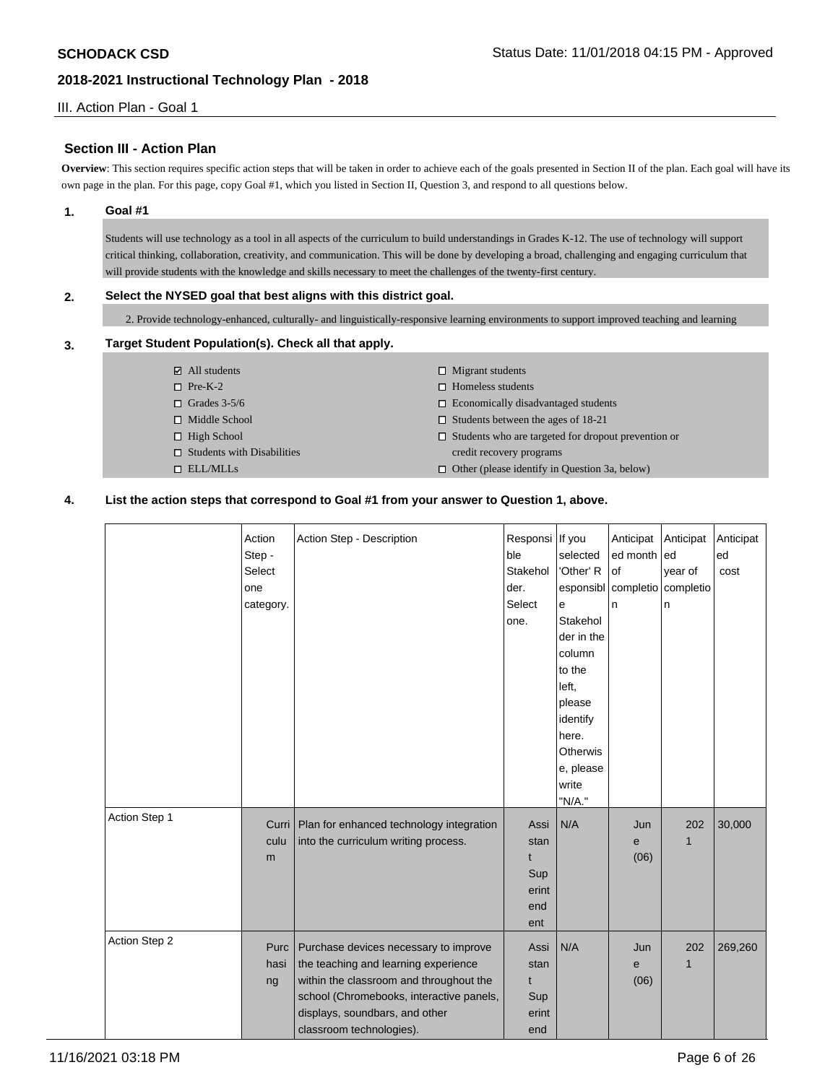#### III. Action Plan - Goal 1

## **Section III - Action Plan**

**Overview**: This section requires specific action steps that will be taken in order to achieve each of the goals presented in Section II of the plan. Each goal will have its own page in the plan. For this page, copy Goal #1, which you listed in Section II, Question 3, and respond to all questions below.

# **1. Goal #1**

Students will use technology as a tool in all aspects of the curriculum to build understandings in Grades K-12. The use of technology will support critical thinking, collaboration, creativity, and communication. This will be done by developing a broad, challenging and engaging curriculum that will provide students with the knowledge and skills necessary to meet the challenges of the twenty-first century.

#### **2. Select the NYSED goal that best aligns with this district goal.**

2. Provide technology-enhanced, culturally- and linguistically-responsive learning environments to support improved teaching and learning

#### **3. Target Student Population(s). Check all that apply.**

| $\boxtimes$ All students          | $\Box$ Migrant students                                    |
|-----------------------------------|------------------------------------------------------------|
| $\Box$ Pre-K-2                    | $\Box$ Homeless students                                   |
| $\Box$ Grades 3-5/6               | $\Box$ Economically disadvantaged students                 |
| $\Box$ Middle School              | $\Box$ Students between the ages of 18-21                  |
| $\Box$ High School                | $\Box$ Students who are targeted for dropout prevention or |
| $\Box$ Students with Disabilities | credit recovery programs                                   |
| $\Box$ ELL/MLLs                   | $\Box$ Other (please identify in Question 3a, below)       |

#### **4. List the action steps that correspond to Goal #1 from your answer to Question 1, above.**

|               | Action    | Action Step - Description                | Responsi | If you     | Anticipat   | Anticipat           | Anticipat |
|---------------|-----------|------------------------------------------|----------|------------|-------------|---------------------|-----------|
|               | Step -    |                                          | ble      | selected   | ed month ed |                     | ed        |
|               | Select    |                                          | Stakehol | 'Other' R  | l of        | year of             | cost      |
|               | one       |                                          | der.     | esponsibl  |             | completio completio |           |
|               | category. |                                          | Select   | е          | n           | n                   |           |
|               |           |                                          | one.     | Stakehol   |             |                     |           |
|               |           |                                          |          | der in the |             |                     |           |
|               |           |                                          |          | column     |             |                     |           |
|               |           |                                          |          | to the     |             |                     |           |
|               |           |                                          |          | left,      |             |                     |           |
|               |           |                                          |          | please     |             |                     |           |
|               |           |                                          |          | identify   |             |                     |           |
|               |           |                                          |          | here.      |             |                     |           |
|               |           |                                          |          | Otherwis   |             |                     |           |
|               |           |                                          |          | e, please  |             |                     |           |
|               |           |                                          |          | write      |             |                     |           |
|               |           |                                          |          | "N/A."     |             |                     |           |
| Action Step 1 | Curri     | Plan for enhanced technology integration | Assi     | N/A        | Jun         | 202                 | 30,000    |
|               | culu      | into the curriculum writing process.     | stan     |            | e           | $\mathbf{1}$        |           |
|               | m         |                                          | t        |            | (06)        |                     |           |
|               |           |                                          | Sup      |            |             |                     |           |
|               |           |                                          | erint    |            |             |                     |           |
|               |           |                                          | end      |            |             |                     |           |
|               |           |                                          | ent      |            |             |                     |           |
| Action Step 2 | Purc      | Purchase devices necessary to improve    | Assi     | N/A        | Jun         | 202                 | 269,260   |
|               | hasi      | the teaching and learning experience     | stan     |            | e           | $\mathbf{1}$        |           |
|               | ng        | within the classroom and throughout the  | t        |            | (06)        |                     |           |
|               |           | school (Chromebooks, interactive panels, | Sup      |            |             |                     |           |
|               |           | displays, soundbars, and other           | erint    |            |             |                     |           |
|               |           | classroom technologies).                 | end      |            |             |                     |           |
|               |           |                                          |          |            |             |                     |           |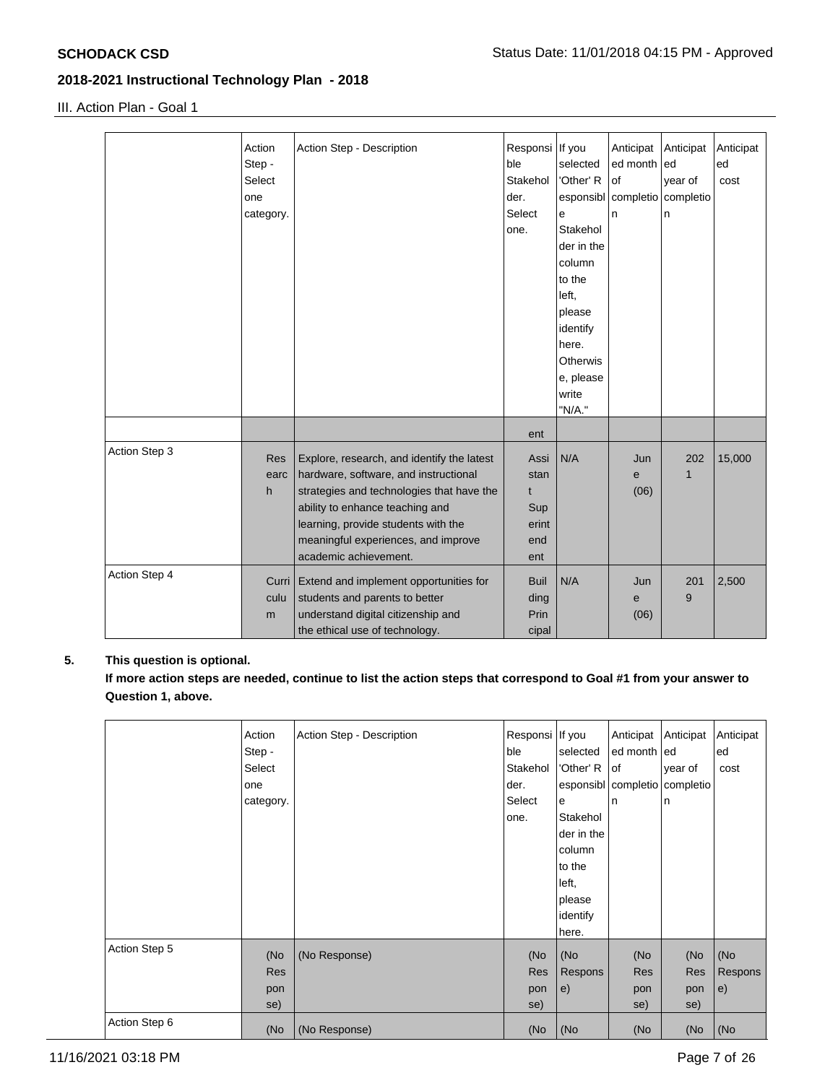III. Action Plan - Goal 1

|               | Action<br>Step -<br>Select<br>one<br>category. | Action Step - Description                                                                                                                                                                                                                                                  | Responsi   If you<br>ble<br>Stakehol<br>der.<br>Select<br>one. | selected<br>'Other' R<br>e<br>Stakehol<br>der in the<br>column<br>to the<br>left,<br>please<br>identify<br>here. | Anticipat<br>ed month led<br>lof<br>n | Anticipat<br>year of<br>esponsibl   completio   completio<br>n | Anticipat<br>ed<br>cost |
|---------------|------------------------------------------------|----------------------------------------------------------------------------------------------------------------------------------------------------------------------------------------------------------------------------------------------------------------------------|----------------------------------------------------------------|------------------------------------------------------------------------------------------------------------------|---------------------------------------|----------------------------------------------------------------|-------------------------|
|               |                                                |                                                                                                                                                                                                                                                                            |                                                                | <b>Otherwis</b><br>e, please<br>write<br>"N/A."                                                                  |                                       |                                                                |                         |
|               |                                                |                                                                                                                                                                                                                                                                            |                                                                |                                                                                                                  |                                       |                                                                |                         |
|               |                                                |                                                                                                                                                                                                                                                                            | ent                                                            |                                                                                                                  |                                       |                                                                |                         |
| Action Step 3 | <b>Res</b><br>earc<br>h                        | Explore, research, and identify the latest<br>hardware, software, and instructional<br>strategies and technologies that have the<br>ability to enhance teaching and<br>learning, provide students with the<br>meaningful experiences, and improve<br>academic achievement. | Assi<br>stan<br>t<br>Sup<br>erint<br>end<br>ent                | N/A                                                                                                              | Jun<br>e<br>(06)                      | 202<br>1                                                       | 15,000                  |
| Action Step 4 | Curri<br>culu<br>m                             | Extend and implement opportunities for<br>students and parents to better<br>understand digital citizenship and<br>the ethical use of technology.                                                                                                                           | Buil<br>ding<br>Prin<br>cipal                                  | N/A                                                                                                              | Jun<br>e<br>(06)                      | 201<br>9                                                       | 2,500                   |

# **5. This question is optional.**

**If more action steps are needed, continue to list the action steps that correspond to Goal #1 from your answer to Question 1, above.**

|               | Action<br>Step -<br>Select<br>one<br>category. | Action Step - Description | Responsi   If you<br>ble<br>Stakehol<br>der.<br>Select<br>one. | selected<br>'Other' R<br>esponsibl<br>e<br>Stakehol<br>der in the<br>column<br>to the<br>left,<br>please<br>identify<br>here. | Anticipat<br>ed month ed<br>l of<br>completio completio<br>۱n | Anticipat<br>year of<br>In | Anticipat<br>ed<br>cost |
|---------------|------------------------------------------------|---------------------------|----------------------------------------------------------------|-------------------------------------------------------------------------------------------------------------------------------|---------------------------------------------------------------|----------------------------|-------------------------|
| Action Step 5 | (No<br><b>Res</b><br>pon<br>se)                | (No Response)             | (No<br><b>Res</b><br>pon<br>se)                                | (No<br>Respons<br>e)                                                                                                          | (No<br><b>Res</b><br>pon<br>se)                               | (No<br>Res<br>pon<br>se)   | (No<br>Respons<br>e)    |
| Action Step 6 | (No                                            | (No Response)             | (No                                                            | (No                                                                                                                           | (No                                                           | (No                        | (No                     |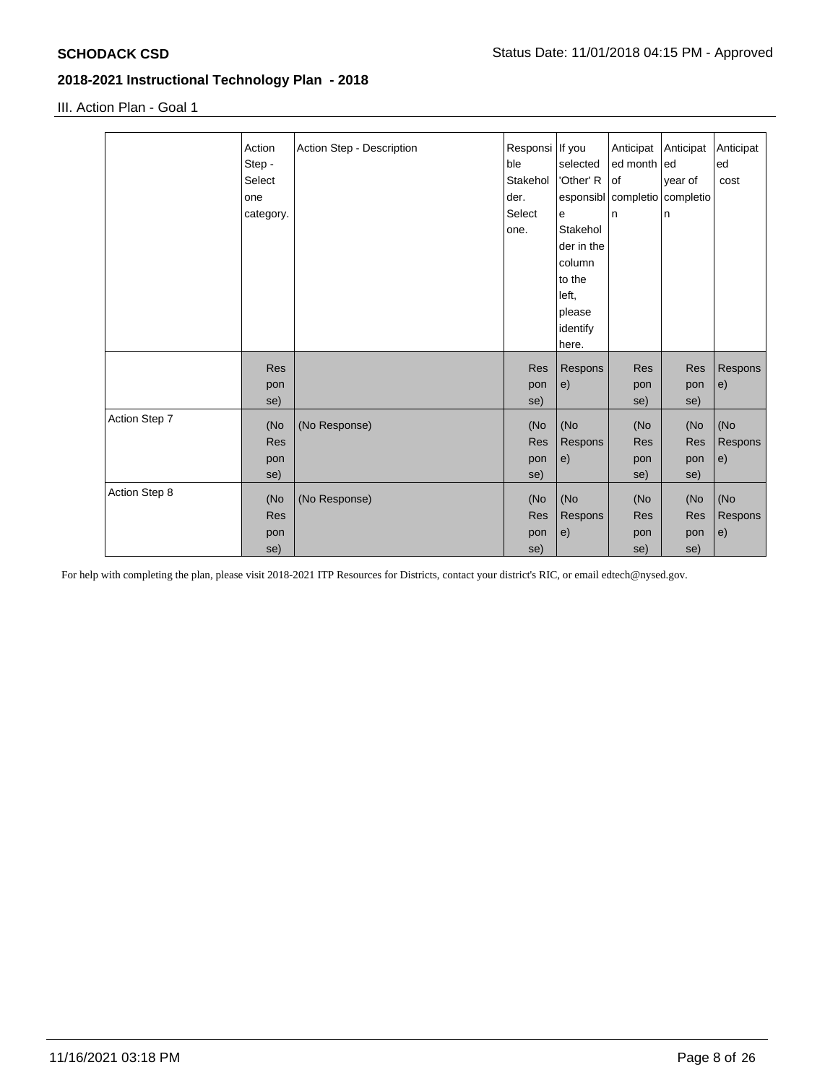III. Action Plan - Goal 1

|               | Action<br>Step -<br>Select<br>one<br>category. | Action Step - Description | Responsi   If you<br>ble<br>Stakehol<br>der.<br>Select<br>one. | selected<br>'Other' R<br>е<br>Stakehol                                 | Anticipat<br>ed month ed<br>of<br>esponsibl   completio   completio<br>n | Anticipat<br>year of<br>n       | Anticipat<br>ed<br>cost |
|---------------|------------------------------------------------|---------------------------|----------------------------------------------------------------|------------------------------------------------------------------------|--------------------------------------------------------------------------|---------------------------------|-------------------------|
|               |                                                |                           |                                                                | der in the<br>column<br>to the<br>left,<br>please<br>identify<br>here. |                                                                          |                                 |                         |
|               | <b>Res</b>                                     |                           | <b>Res</b>                                                     | Respons                                                                | <b>Res</b>                                                               | <b>Res</b>                      | Respons                 |
|               | pon<br>se)                                     |                           | pon<br>se)                                                     | e)                                                                     | pon<br>se)                                                               | pon<br>se)                      | e)                      |
| Action Step 7 | (No<br><b>Res</b><br>pon<br>se)                | (No Response)             | (No<br><b>Res</b><br>pon<br>se)                                | (No<br>Respons<br>e)                                                   | (No<br><b>Res</b><br>pon<br>se)                                          | (No<br><b>Res</b><br>pon<br>se) | (No<br>Respons<br>e)    |
| Action Step 8 | (No<br><b>Res</b><br>pon<br>se)                | (No Response)             | (No<br><b>Res</b><br>pon<br>se)                                | (No<br>Respons<br>e)                                                   | (No<br><b>Res</b><br>pon<br>se)                                          | (No<br><b>Res</b><br>pon<br>se) | (No<br>Respons<br>e)    |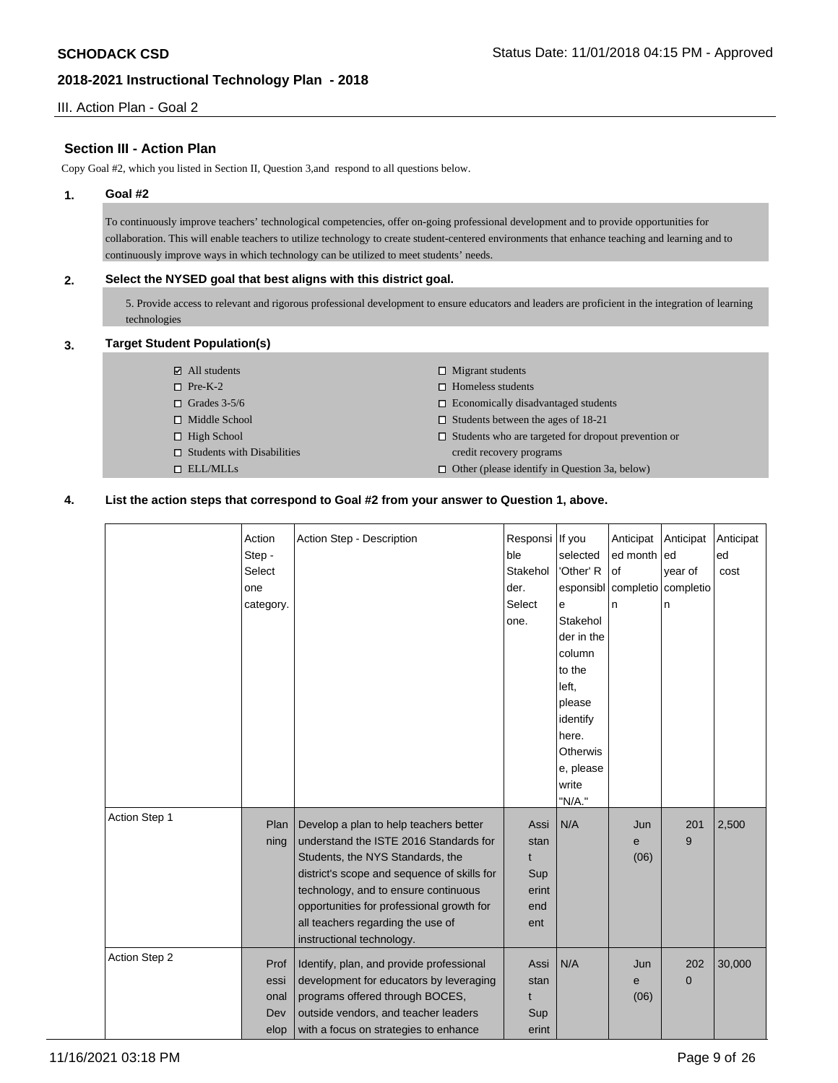III. Action Plan - Goal 2

# **Section III - Action Plan**

Copy Goal #2, which you listed in Section II, Question 3,and respond to all questions below.

#### **1. Goal #2**

To continuously improve teachers' technological competencies, offer on-going professional development and to provide opportunities for collaboration. This will enable teachers to utilize technology to create student-centered environments that enhance teaching and learning and to continuously improve ways in which technology can be utilized to meet students' needs.

#### **2. Select the NYSED goal that best aligns with this district goal.**

5. Provide access to relevant and rigorous professional development to ensure educators and leaders are proficient in the integration of learning technologies

## **3. Target Student Population(s)**

All students  $\Box$  Pre-K-2  $\Box$  Grades 3-5/6 □ Middle School  $\Box$  High School  $\square$  Students with Disabilities ELL/MLLs  $\square$  Migrant students  $\Box$  Homeless students  $\square$  Economically disadvantaged students  $\square$  Students between the ages of 18-21  $\square$  Students who are targeted for dropout prevention or credit recovery programs  $\Box$  Other (please identify in Question 3a, below)

#### **4. List the action steps that correspond to Goal #2 from your answer to Question 1, above.**

|               | Action    | Action Step - Description                   | Responsi | If you     | Anticipat | Anticipat    | Anticipat |
|---------------|-----------|---------------------------------------------|----------|------------|-----------|--------------|-----------|
|               | Step -    |                                             | ble      | selected   | ed month  | led          | ed        |
|               | Select    |                                             | Stakehol | 'Other' R  | of        | year of      | cost      |
|               | one       |                                             | der.     | esponsibl  | completio | completio    |           |
|               | category. |                                             | Select   | е          | n         | n            |           |
|               |           |                                             | one.     | Stakehol   |           |              |           |
|               |           |                                             |          | der in the |           |              |           |
|               |           |                                             |          | column     |           |              |           |
|               |           |                                             |          | to the     |           |              |           |
|               |           |                                             |          | left,      |           |              |           |
|               |           |                                             |          | please     |           |              |           |
|               |           |                                             |          | identify   |           |              |           |
|               |           |                                             |          | here.      |           |              |           |
|               |           |                                             |          | Otherwis   |           |              |           |
|               |           |                                             |          | e, please  |           |              |           |
|               |           |                                             |          | write      |           |              |           |
|               |           |                                             |          | "N/A."     |           |              |           |
| Action Step 1 | Plan      | Develop a plan to help teachers better      | Assi     | N/A        | Jun       | 201          | 2,500     |
|               | ning      | understand the ISTE 2016 Standards for      | stan     |            | e         | 9            |           |
|               |           | Students, the NYS Standards, the            | t        |            | (06)      |              |           |
|               |           | district's scope and sequence of skills for | Sup      |            |           |              |           |
|               |           | technology, and to ensure continuous        | erint    |            |           |              |           |
|               |           | opportunities for professional growth for   | end      |            |           |              |           |
|               |           | all teachers regarding the use of           | ent      |            |           |              |           |
|               |           | instructional technology.                   |          |            |           |              |           |
| Action Step 2 | Prof      | Identify, plan, and provide professional    | Assi     | N/A        | Jun       | 202          | 30,000    |
|               | essi      | development for educators by leveraging     | stan     |            | e         | $\mathbf{0}$ |           |
|               | onal      | programs offered through BOCES,             | t        |            | (06)      |              |           |
|               | Dev       | outside vendors, and teacher leaders        | Sup      |            |           |              |           |
|               | elop      | with a focus on strategies to enhance       | erint    |            |           |              |           |
|               |           |                                             |          |            |           |              |           |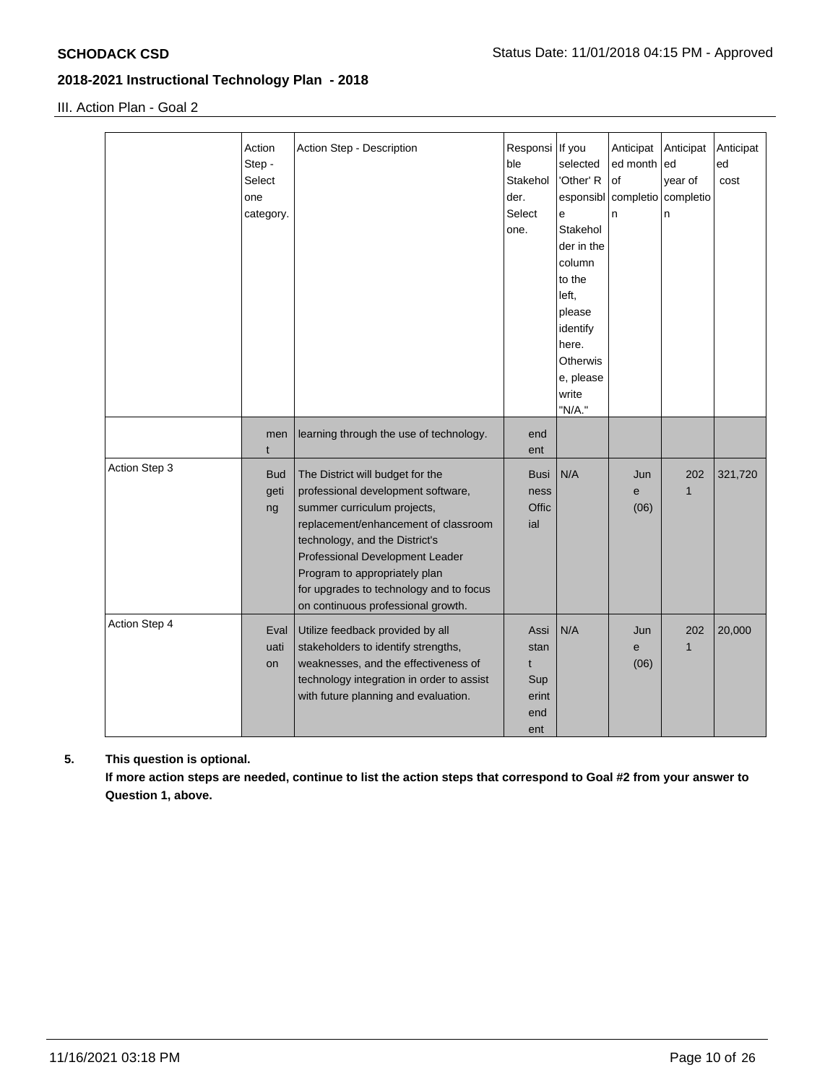III. Action Plan - Goal 2

|               | Action<br>Step -<br>Select<br>one<br>category. | Action Step - Description                                                                                                                                                                                                                                                                                                            | Responsi   If you<br>ble<br>Stakehol<br>der.<br>Select<br>one. | selected<br>'Other' R<br>e<br>Stakehol<br>der in the<br>column<br>to the<br>left,<br>please<br>identify<br>here.<br><b>Otherwis</b><br>e, please<br>write<br>"N/A." | Anticipat<br>ed month<br>of<br>esponsibl completio completio<br>n | Anticipat<br>led<br>year of<br>n | Anticipat<br>ed<br>cost |
|---------------|------------------------------------------------|--------------------------------------------------------------------------------------------------------------------------------------------------------------------------------------------------------------------------------------------------------------------------------------------------------------------------------------|----------------------------------------------------------------|---------------------------------------------------------------------------------------------------------------------------------------------------------------------|-------------------------------------------------------------------|----------------------------------|-------------------------|
|               | men<br>t                                       | learning through the use of technology.                                                                                                                                                                                                                                                                                              | end<br>ent                                                     |                                                                                                                                                                     |                                                                   |                                  |                         |
| Action Step 3 | <b>Bud</b><br>geti<br>ng                       | The District will budget for the<br>professional development software,<br>summer curriculum projects,<br>replacement/enhancement of classroom<br>technology, and the District's<br>Professional Development Leader<br>Program to appropriately plan<br>for upgrades to technology and to focus<br>on continuous professional growth. | <b>Busi</b><br>ness<br><b>Offic</b><br>ial                     | N/A                                                                                                                                                                 | Jun<br>e<br>(06)                                                  | 202<br>$\mathbf{1}$              | 321,720                 |
| Action Step 4 | Eval<br>uati<br>on                             | Utilize feedback provided by all<br>stakeholders to identify strengths,<br>weaknesses, and the effectiveness of<br>technology integration in order to assist<br>with future planning and evaluation.                                                                                                                                 | Assi<br>stan<br>t<br>Sup<br>erint<br>end<br>ent                | N/A                                                                                                                                                                 | Jun<br>e<br>(06)                                                  | 202<br>$\mathbf{1}$              | 20,000                  |

**5. This question is optional.**

**If more action steps are needed, continue to list the action steps that correspond to Goal #2 from your answer to Question 1, above.**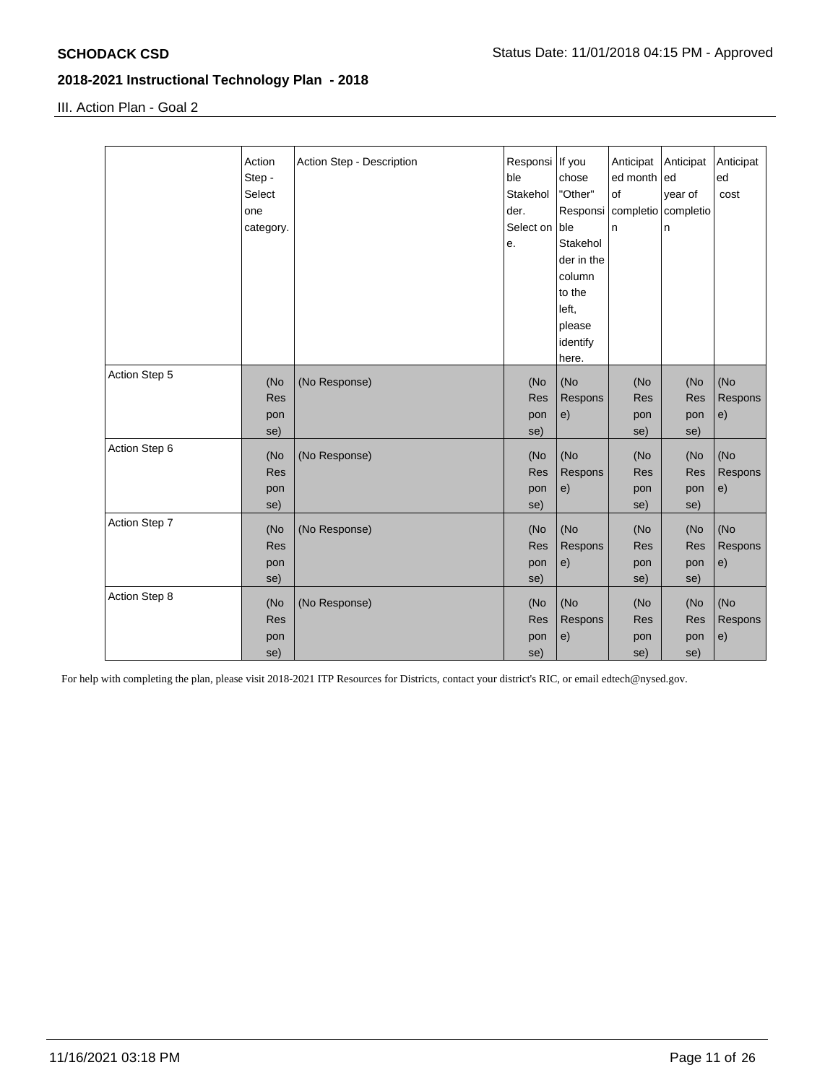III. Action Plan - Goal 2

|               | Action     | Action Step - Description | Responsi If you |            | Anticipat    | Anticipat           | Anticipat |
|---------------|------------|---------------------------|-----------------|------------|--------------|---------------------|-----------|
|               | Step -     |                           | ble             | chose      | ed month led |                     | ed        |
|               | Select     |                           | Stakehol        | "Other"    | of           | year of             | cost      |
|               | one        |                           | der.            | Responsi   |              | completio completio |           |
|               | category.  |                           | Select on ble   |            | n            | n                   |           |
|               |            |                           | e.              | Stakehol   |              |                     |           |
|               |            |                           |                 | der in the |              |                     |           |
|               |            |                           |                 | column     |              |                     |           |
|               |            |                           |                 | to the     |              |                     |           |
|               |            |                           |                 | left.      |              |                     |           |
|               |            |                           |                 | please     |              |                     |           |
|               |            |                           |                 | identify   |              |                     |           |
|               |            |                           |                 | here.      |              |                     |           |
| Action Step 5 |            |                           |                 |            |              |                     | (No       |
|               | (No        | (No Response)             | (No             | (No        | (No          | (No                 |           |
|               | <b>Res</b> |                           | <b>Res</b>      | Respons    | Res          | <b>Res</b>          | Respons   |
|               | pon        |                           | pon             | e)         | pon          | pon                 | e)        |
|               | se)        |                           | se)             |            | se)          | se)                 |           |
| Action Step 6 | (No        | (No Response)             | (No             | (No        | (No          | (No                 | (No       |
|               | <b>Res</b> |                           | <b>Res</b>      | Respons    | <b>Res</b>   | <b>Res</b>          | Respons   |
|               | pon        |                           | pon             | e)         | pon          | pon                 | e)        |
|               | se)        |                           | se)             |            | se)          | se)                 |           |
| Action Step 7 |            |                           |                 |            |              |                     |           |
|               | (No        | (No Response)             | (No             | (No        | (No          | (No                 | (No       |
|               | Res        |                           | Res             | Respons    | Res          | Res                 | Respons   |
|               | pon        |                           | pon             | e)         | pon          | pon                 | e)        |
|               | se)        |                           | se)             |            | se)          | se)                 |           |
| Action Step 8 | (No        | (No Response)             | (No             | (No        | (No          | (No                 | (No       |
|               | <b>Res</b> |                           | <b>Res</b>      | Respons    | <b>Res</b>   | <b>Res</b>          | Respons   |
|               | pon        |                           | pon             | e)         | pon          | pon                 | e)        |
|               | se)        |                           | se)             |            | se)          | se)                 |           |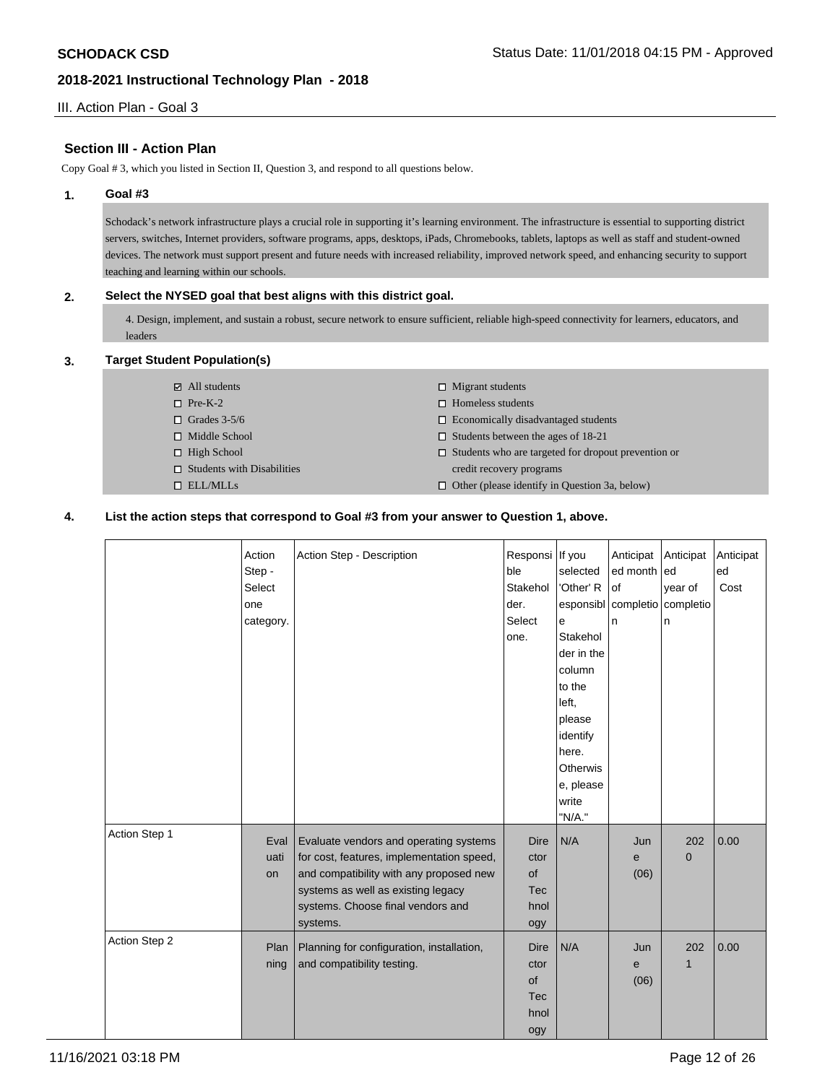III. Action Plan - Goal 3

# **Section III - Action Plan**

Copy Goal # 3, which you listed in Section II, Question 3, and respond to all questions below.

#### **1. Goal #3**

Schodack's network infrastructure plays a crucial role in supporting it's learning environment. The infrastructure is essential to supporting district servers, switches, Internet providers, software programs, apps, desktops, iPads, Chromebooks, tablets, laptops as well as staff and student-owned devices. The network must support present and future needs with increased reliability, improved network speed, and enhancing security to support teaching and learning within our schools.

#### **2. Select the NYSED goal that best aligns with this district goal.**

4. Design, implement, and sustain a robust, secure network to ensure sufficient, reliable high-speed connectivity for learners, educators, and leaders

## **3. Target Student Population(s)**

| $\blacktriangleright$ All students |
|------------------------------------|
| $\Box$ Pre-K-2                     |

- $\Box$  Grades 3-5/6
- □ Middle School
- $\Box$  High School
- $\square$  Students with Disabilities
- ELL/MLLs
- $\Box$  Migrant students
- $\Box$  Homeless students
- $\Box$  Economically disadvantaged students
- $\square$  Students between the ages of 18-21
- $\square$  Students who are targeted for dropout prevention or credit recovery programs
- $\Box$  Other (please identify in Question 3a, below)

#### **4. List the action steps that correspond to Goal #3 from your answer to Question 1, above.**

|               | Action    | Action Step - Description                 | Responsi If you |                 | Anticipat | Anticipat    | Anticipat |
|---------------|-----------|-------------------------------------------|-----------------|-----------------|-----------|--------------|-----------|
|               |           |                                           | ble             |                 |           |              |           |
|               | Step -    |                                           |                 | selected        | ed month  | led          | ed        |
|               | Select    |                                           | Stakehol        | 'Other' R       | of        | year of      | Cost      |
|               | one       |                                           | der.            | esponsibl       | completio | completio    |           |
|               | category. |                                           | Select          | e               | 'n        | n            |           |
|               |           |                                           | one.            | Stakehol        |           |              |           |
|               |           |                                           |                 | der in the      |           |              |           |
|               |           |                                           |                 | column          |           |              |           |
|               |           |                                           |                 | to the          |           |              |           |
|               |           |                                           |                 | left,           |           |              |           |
|               |           |                                           |                 | please          |           |              |           |
|               |           |                                           |                 | identify        |           |              |           |
|               |           |                                           |                 | here.           |           |              |           |
|               |           |                                           |                 | <b>Otherwis</b> |           |              |           |
|               |           |                                           |                 | e, please       |           |              |           |
|               |           |                                           |                 | write           |           |              |           |
|               |           |                                           |                 | "N/A."          |           |              |           |
| Action Step 1 |           |                                           |                 | N/A             |           |              | 0.00      |
|               | Eval      | Evaluate vendors and operating systems    | <b>Dire</b>     |                 | Jun       | 202          |           |
|               | uati      | for cost, features, implementation speed, | ctor            |                 | e         | $\mathbf{0}$ |           |
|               | on        | and compatibility with any proposed new   | of              |                 | (06)      |              |           |
|               |           | systems as well as existing legacy        | <b>Tec</b>      |                 |           |              |           |
|               |           | systems. Choose final vendors and         | hnol            |                 |           |              |           |
|               |           | systems.                                  | ogy             |                 |           |              |           |
| Action Step 2 | Plan      | Planning for configuration, installation, | <b>Dire</b>     | N/A             | Jun       | 202          | 0.00      |
|               | ning      | and compatibility testing.                | ctor            |                 | e         | $\mathbf{1}$ |           |
|               |           |                                           | of              |                 | (06)      |              |           |
|               |           |                                           | <b>Tec</b>      |                 |           |              |           |
|               |           |                                           | hnol            |                 |           |              |           |
|               |           |                                           | ogy             |                 |           |              |           |
|               |           |                                           |                 |                 |           |              |           |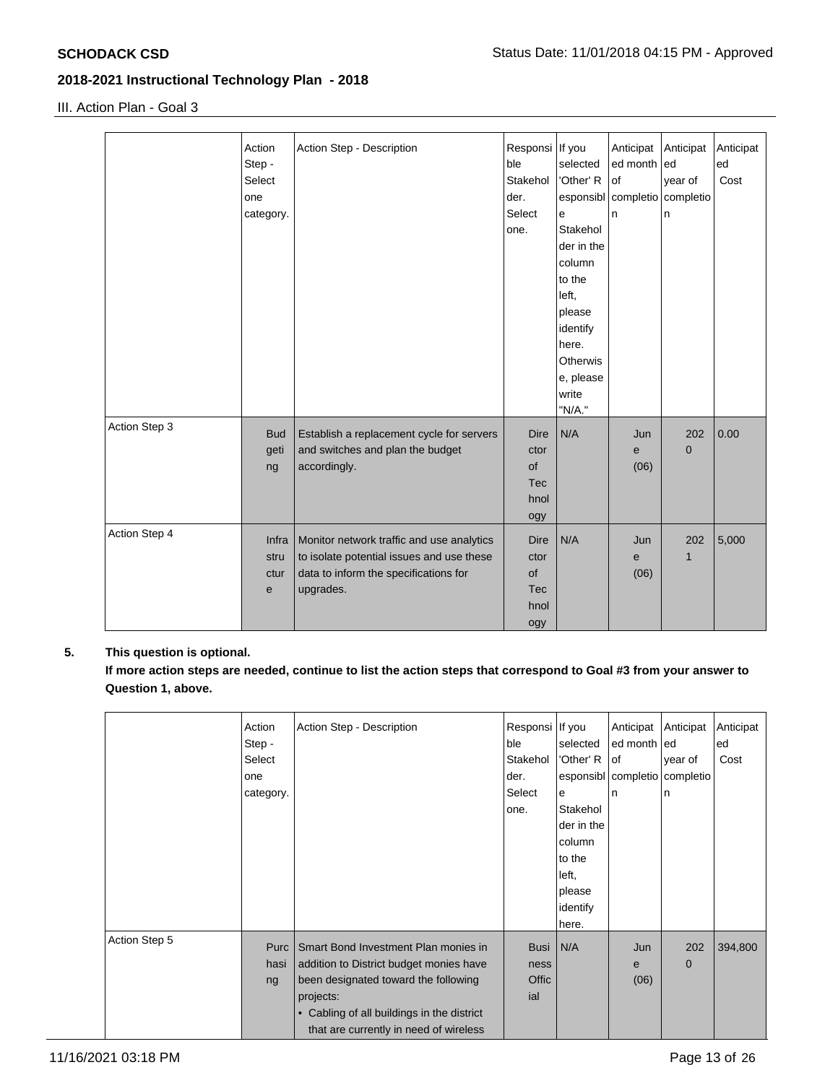III. Action Plan - Goal 3

|               | Action<br>Step -<br>Select<br>one<br>category. | Action Step - Description                                                                                                                    | Responsi   If you<br>ble<br>Stakehol<br>der.<br>Select<br>one. | selected<br>'Other' R<br>e<br>Stakehol<br>der in the<br>column<br>to the<br>left,<br>please<br>identify<br>here.<br><b>Otherwis</b><br>e, please<br>write<br>"N/A." | Anticipat<br>ed month led<br>lof<br>esponsibl completio completio<br>In | Anticipat<br>year of<br>n | Anticipat<br>ed<br>Cost |
|---------------|------------------------------------------------|----------------------------------------------------------------------------------------------------------------------------------------------|----------------------------------------------------------------|---------------------------------------------------------------------------------------------------------------------------------------------------------------------|-------------------------------------------------------------------------|---------------------------|-------------------------|
| Action Step 3 | <b>Bud</b><br>geti<br>ng                       | Establish a replacement cycle for servers<br>and switches and plan the budget<br>accordingly.                                                | <b>Dire</b><br>ctor<br>of<br><b>Tec</b><br>hnol<br>ogy         | N/A                                                                                                                                                                 | Jun<br>e<br>(06)                                                        | 202<br>$\mathbf{0}$       | 0.00                    |
| Action Step 4 | Infra<br>stru<br>ctur<br>$\mathbf e$           | Monitor network traffic and use analytics<br>to isolate potential issues and use these<br>data to inform the specifications for<br>upgrades. | <b>Dire</b><br>ctor<br>of<br><b>Tec</b><br>hnol<br>ogy         | N/A                                                                                                                                                                 | Jun<br>e<br>(06)                                                        | 202<br>1                  | 5,000                   |

# **5. This question is optional.**

**If more action steps are needed, continue to list the action steps that correspond to Goal #3 from your answer to Question 1, above.**

|               | Action<br>Step -<br>Select<br>one<br>category. | Action Step - Description                                                                                                                                                                                                    | Responsi If you<br>ble<br>Stakehol<br>der.<br>Select<br>one. | selected<br>'Other' R<br>e<br>Stakehol<br>der in the<br>column<br>to the<br>left,<br>please<br>identify<br>here. | Anticipat<br>ed month led<br>l of<br>esponsibl completio completio<br>ln. | Anticipat<br>year of<br>In. | Anticipat<br>ed<br>Cost |
|---------------|------------------------------------------------|------------------------------------------------------------------------------------------------------------------------------------------------------------------------------------------------------------------------------|--------------------------------------------------------------|------------------------------------------------------------------------------------------------------------------|---------------------------------------------------------------------------|-----------------------------|-------------------------|
| Action Step 5 | Purc<br>hasi<br>ng                             | Smart Bond Investment Plan monies in<br>addition to District budget monies have<br>been designated toward the following<br>projects:<br>• Cabling of all buildings in the district<br>that are currently in need of wireless | Busi<br>ness<br>Offic<br>ial                                 | N/A                                                                                                              | Jun<br>e<br>(06)                                                          | 202<br>0                    | 394,800                 |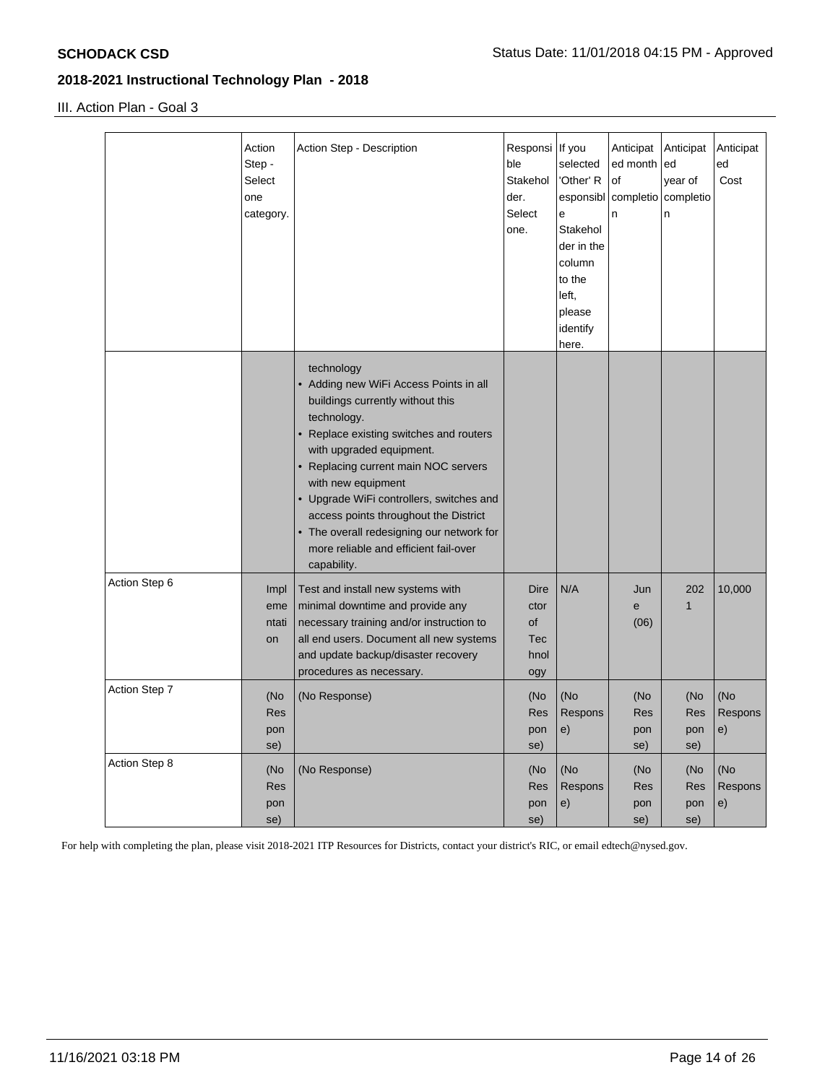III. Action Plan - Goal 3

|               | Action<br>Step -<br>Select<br>one<br>category. | Action Step - Description                                                                                                                                                                                                                                                                                                                                                                                                              | Responsi If you<br>ble<br>Stakehol<br>der.<br>Select<br>one. | selected<br>'Other' R<br>е<br>Stakehol<br>der in the<br>column<br>to the<br>left,<br>please<br>identify<br>here. | Anticipat<br>ed month<br>of<br>n | Anticipat<br>ed<br>year of<br>esponsibl completio completio<br>n | Anticipat<br>ed<br>Cost |
|---------------|------------------------------------------------|----------------------------------------------------------------------------------------------------------------------------------------------------------------------------------------------------------------------------------------------------------------------------------------------------------------------------------------------------------------------------------------------------------------------------------------|--------------------------------------------------------------|------------------------------------------------------------------------------------------------------------------|----------------------------------|------------------------------------------------------------------|-------------------------|
|               |                                                | technology<br>• Adding new WiFi Access Points in all<br>buildings currently without this<br>technology.<br>• Replace existing switches and routers<br>with upgraded equipment.<br>• Replacing current main NOC servers<br>with new equipment<br>• Upgrade WiFi controllers, switches and<br>access points throughout the District<br>• The overall redesigning our network for<br>more reliable and efficient fail-over<br>capability. |                                                              |                                                                                                                  |                                  |                                                                  |                         |
| Action Step 6 | Impl<br>eme<br>ntati<br>on                     | Test and install new systems with<br>minimal downtime and provide any<br>necessary training and/or instruction to<br>all end users. Document all new systems<br>and update backup/disaster recovery<br>procedures as necessary.                                                                                                                                                                                                        | Dire<br>ctor<br>of<br>Tec<br>hnol<br>ogy                     | N/A                                                                                                              | Jun<br>e<br>(06)                 | 202<br>1                                                         | 10,000                  |
| Action Step 7 | (No<br><b>Res</b><br>pon<br>se)                | (No Response)                                                                                                                                                                                                                                                                                                                                                                                                                          | (No<br><b>Res</b><br>pon<br>se)                              | (No<br>Respons<br>e)                                                                                             | (No<br><b>Res</b><br>pon<br>se)  | (No<br>Res<br>pon<br>se)                                         | (No<br>Respons<br>e)    |
| Action Step 8 | (No<br>Res<br>pon<br>se)                       | (No Response)                                                                                                                                                                                                                                                                                                                                                                                                                          | (No<br>Res<br>pon<br>se)                                     | (No<br>Respons<br>e)                                                                                             | (No<br>Res<br>pon<br>se)         | (No<br>Res<br>pon<br>se)                                         | (No<br>Respons<br>e)    |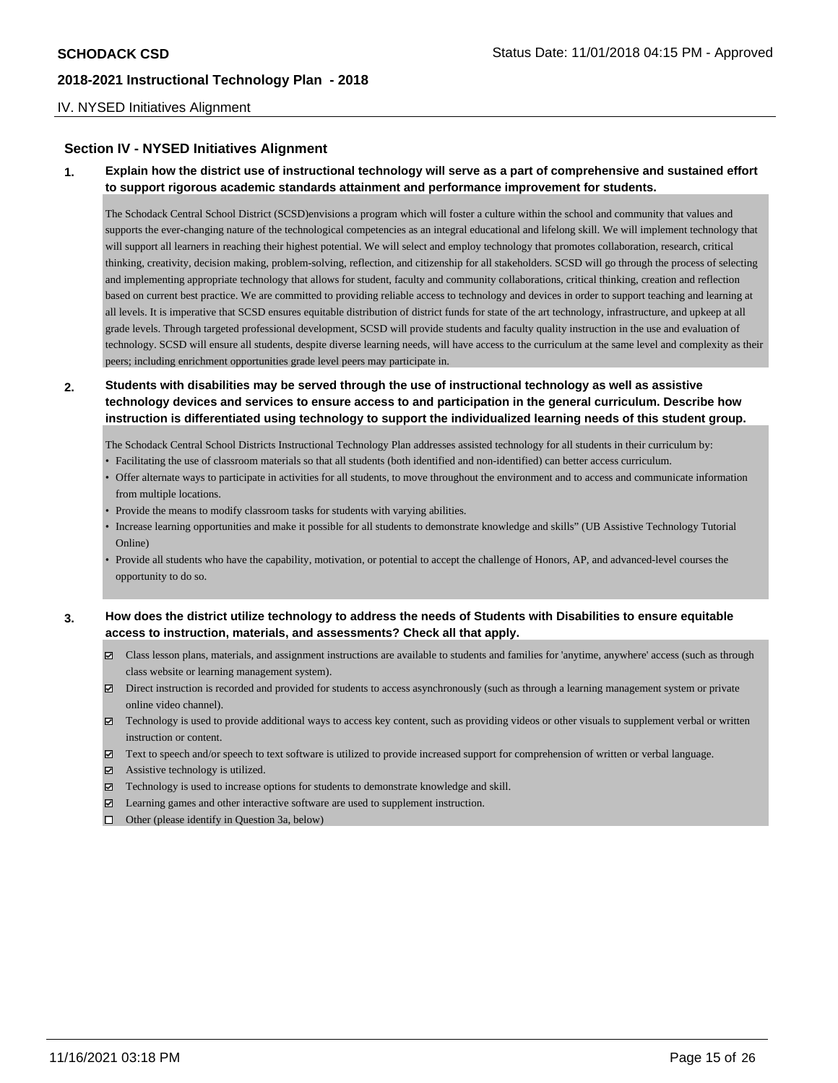#### IV. NYSED Initiatives Alignment

#### **Section IV - NYSED Initiatives Alignment**

**1. Explain how the district use of instructional technology will serve as a part of comprehensive and sustained effort to support rigorous academic standards attainment and performance improvement for students.**

The Schodack Central School District (SCSD)envisions a program which will foster a culture within the school and community that values and supports the ever-changing nature of the technological competencies as an integral educational and lifelong skill. We will implement technology that will support all learners in reaching their highest potential. We will select and employ technology that promotes collaboration, research, critical thinking, creativity, decision making, problem-solving, reflection, and citizenship for all stakeholders. SCSD will go through the process of selecting and implementing appropriate technology that allows for student, faculty and community collaborations, critical thinking, creation and reflection based on current best practice. We are committed to providing reliable access to technology and devices in order to support teaching and learning at all levels. It is imperative that SCSD ensures equitable distribution of district funds for state of the art technology, infrastructure, and upkeep at all grade levels. Through targeted professional development, SCSD will provide students and faculty quality instruction in the use and evaluation of technology. SCSD will ensure all students, despite diverse learning needs, will have access to the curriculum at the same level and complexity as their peers; including enrichment opportunities grade level peers may participate in.

**2. Students with disabilities may be served through the use of instructional technology as well as assistive technology devices and services to ensure access to and participation in the general curriculum. Describe how instruction is differentiated using technology to support the individualized learning needs of this student group.**

The Schodack Central School Districts Instructional Technology Plan addresses assisted technology for all students in their curriculum by:

- Facilitating the use of classroom materials so that all students (both identified and non-identified) can better access curriculum.
- Offer alternate ways to participate in activities for all students, to move throughout the environment and to access and communicate information from multiple locations.
- Provide the means to modify classroom tasks for students with varying abilities.
- Increase learning opportunities and make it possible for all students to demonstrate knowledge and skills" (UB Assistive Technology Tutorial Online)
- Provide all students who have the capability, motivation, or potential to accept the challenge of Honors, AP, and advanced-level courses the opportunity to do so.
- **3. How does the district utilize technology to address the needs of Students with Disabilities to ensure equitable access to instruction, materials, and assessments? Check all that apply.**
	- Class lesson plans, materials, and assignment instructions are available to students and families for 'anytime, anywhere' access (such as through class website or learning management system).
	- Direct instruction is recorded and provided for students to access asynchronously (such as through a learning management system or private online video channel).
	- Technology is used to provide additional ways to access key content, such as providing videos or other visuals to supplement verbal or written instruction or content.
	- Text to speech and/or speech to text software is utilized to provide increased support for comprehension of written or verbal language.
	- Assistive technology is utilized.
	- $\boxtimes$  Technology is used to increase options for students to demonstrate knowledge and skill.
	- Learning games and other interactive software are used to supplement instruction.
	- $\Box$  Other (please identify in Question 3a, below)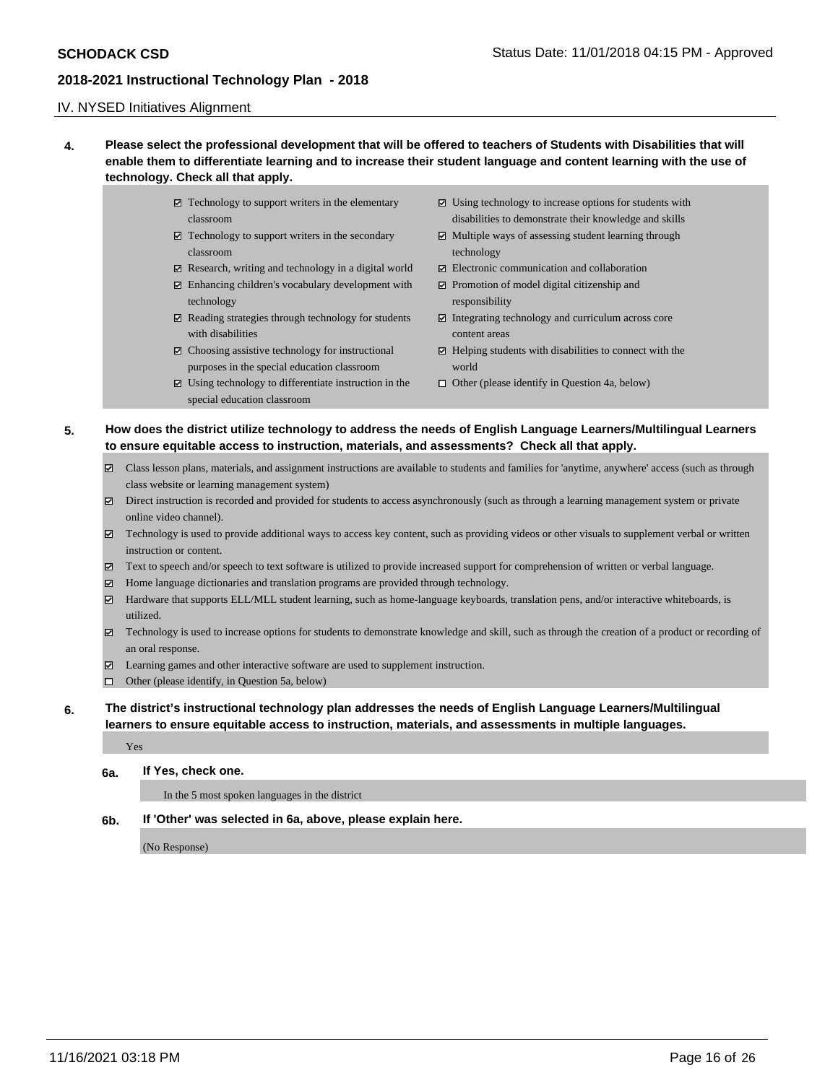#### IV. NYSED Initiatives Alignment

- **4. Please select the professional development that will be offered to teachers of Students with Disabilities that will enable them to differentiate learning and to increase their student language and content learning with the use of technology. Check all that apply.**
	- $\boxtimes$  Technology to support writers in the elementary classroom
	- $\boxtimes$  Technology to support writers in the secondary classroom
	- $\boxtimes$  Research, writing and technology in a digital world
	- Enhancing children's vocabulary development with technology
	- $\boxtimes$  Reading strategies through technology for students with disabilities
	- $\boxtimes$  Choosing assistive technology for instructional purposes in the special education classroom
	- $\boxtimes$  Using technology to differentiate instruction in the special education classroom
- $\boxtimes$  Using technology to increase options for students with disabilities to demonstrate their knowledge and skills
- $\boxtimes$  Multiple ways of assessing student learning through technology
- Electronic communication and collaboration
- $\triangleright$  Promotion of model digital citizenship and responsibility
- $\Xi$  Integrating technology and curriculum across core content areas
- $\Xi$  Helping students with disabilities to connect with the world
- $\Box$  Other (please identify in Question 4a, below)

## **5. How does the district utilize technology to address the needs of English Language Learners/Multilingual Learners to ensure equitable access to instruction, materials, and assessments? Check all that apply.**

- Class lesson plans, materials, and assignment instructions are available to students and families for 'anytime, anywhere' access (such as through class website or learning management system)
- $\boxtimes$  Direct instruction is recorded and provided for students to access asynchronously (such as through a learning management system or private online video channel).
- Technology is used to provide additional ways to access key content, such as providing videos or other visuals to supplement verbal or written instruction or content.
- $\boxtimes$  Text to speech and/or speech to text software is utilized to provide increased support for comprehension of written or verbal language.
- Home language dictionaries and translation programs are provided through technology.
- Hardware that supports ELL/MLL student learning, such as home-language keyboards, translation pens, and/or interactive whiteboards, is utilized.
- Technology is used to increase options for students to demonstrate knowledge and skill, such as through the creation of a product or recording of an oral response.
- Learning games and other interactive software are used to supplement instruction.
- $\Box$  Other (please identify, in Question 5a, below)
- **6. The district's instructional technology plan addresses the needs of English Language Learners/Multilingual learners to ensure equitable access to instruction, materials, and assessments in multiple languages.**

Yes

**6a. If Yes, check one.**

In the 5 most spoken languages in the district

#### **6b. If 'Other' was selected in 6a, above, please explain here.**

(No Response)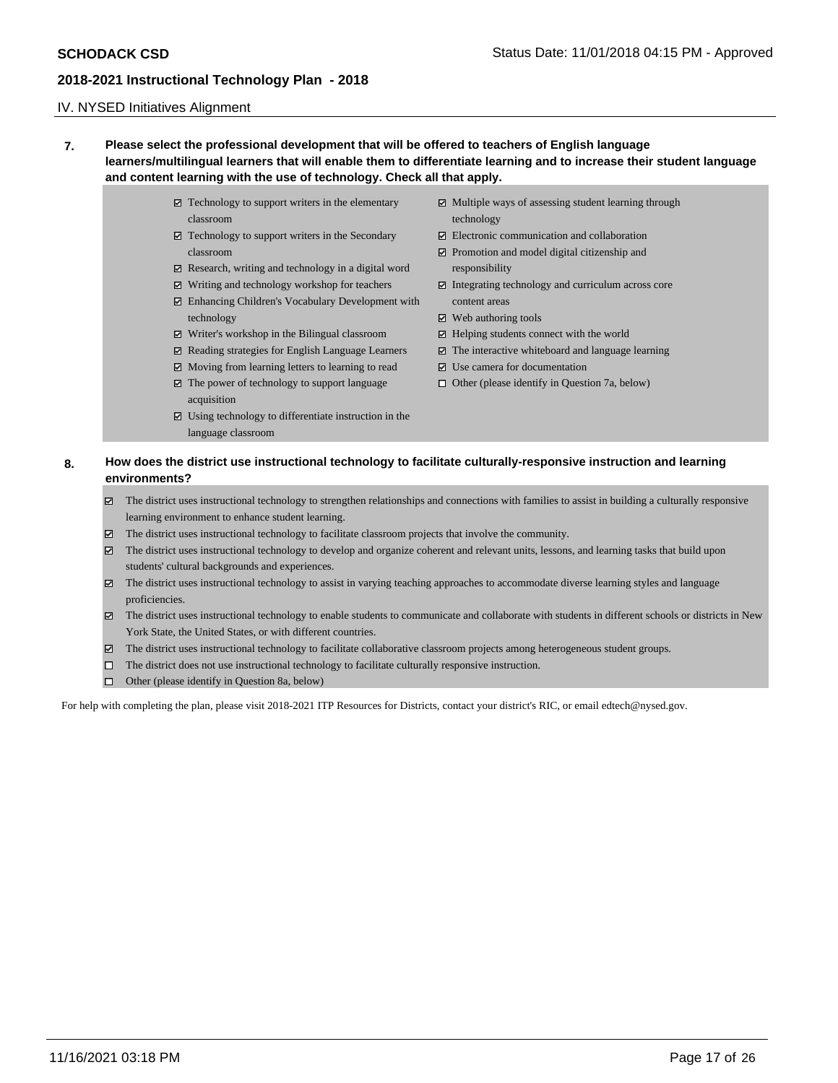#### IV. NYSED Initiatives Alignment

# **7. Please select the professional development that will be offered to teachers of English language learners/multilingual learners that will enable them to differentiate learning and to increase their student language and content learning with the use of technology. Check all that apply.**

- $\boxtimes$  Technology to support writers in the elementary classroom
- $\boxtimes$  Technology to support writers in the Secondary classroom
- $\boxtimes$  Research, writing and technology in a digital word
- Writing and technology workshop for teachers
- Enhancing Children's Vocabulary Development with technology
- $\boxtimes$  Writer's workshop in the Bilingual classroom
- $\Xi$  Reading strategies for English Language Learners
- $\boxtimes$  Moving from learning letters to learning to read  $\Xi$  The power of technology to support language acquisition
- $\boxtimes$  Using technology to differentiate instruction in the language classroom
- $\boxtimes$  Multiple ways of assessing student learning through technology
- Electronic communication and collaboration
- $\triangleright$  Promotion and model digital citizenship and responsibility
- $\Xi$  Integrating technology and curriculum across core content areas
- $\boxtimes$  Web authoring tools
- $\Xi$  Helping students connect with the world
- $\triangleright$  The interactive whiteboard and language learning
- Use camera for documentation
- $\Box$  Other (please identify in Question 7a, below)
- **8. How does the district use instructional technology to facilitate culturally-responsive instruction and learning environments?**
	- The district uses instructional technology to strengthen relationships and connections with families to assist in building a culturally responsive learning environment to enhance student learning.
	- The district uses instructional technology to facilitate classroom projects that involve the community.
	- The district uses instructional technology to develop and organize coherent and relevant units, lessons, and learning tasks that build upon students' cultural backgrounds and experiences.
	- The district uses instructional technology to assist in varying teaching approaches to accommodate diverse learning styles and language proficiencies.
	- The district uses instructional technology to enable students to communicate and collaborate with students in different schools or districts in New York State, the United States, or with different countries.
	- The district uses instructional technology to facilitate collaborative classroom projects among heterogeneous student groups.
	- $\Box$  The district does not use instructional technology to facilitate culturally responsive instruction.
	- $\Box$  Other (please identify in Question 8a, below)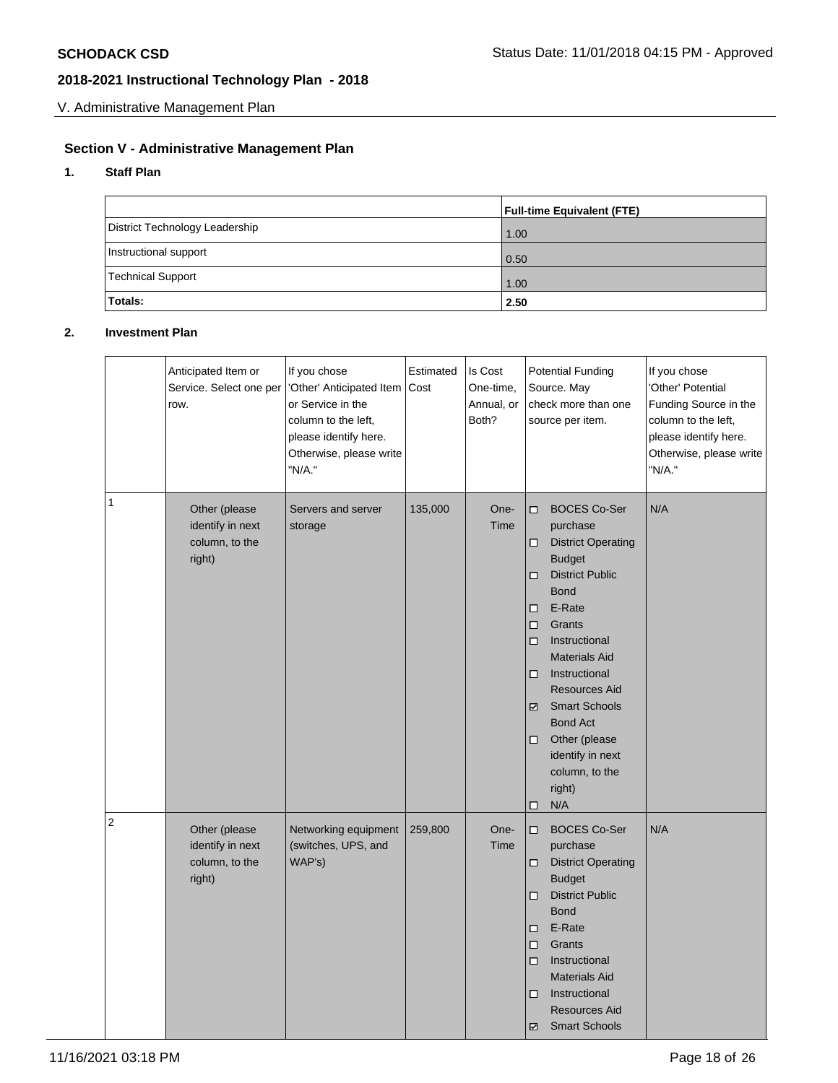V. Administrative Management Plan

# **Section V - Administrative Management Plan**

# **1. Staff Plan**

|                                | <b>Full-time Equivalent (FTE)</b> |
|--------------------------------|-----------------------------------|
| District Technology Leadership | 1.00                              |
| Instructional support          | 0.50                              |
| <b>Technical Support</b>       | 1.00                              |
| Totals:                        | 2.50                              |

# **2. Investment Plan**

|   | Anticipated Item or<br>Service. Select one per<br>row.        | If you chose<br>'Other' Anticipated Item<br>or Service in the<br>column to the left,<br>please identify here.<br>Otherwise, please write<br>"N/A." | Estimated<br>Cost | Is Cost<br>One-time,<br>Annual, or<br>Both? | <b>Potential Funding</b><br>Source. May<br>check more than one<br>source per item.                                                                                                                                                                                                                                                                                                                             | If you chose<br>'Other' Potential<br>Funding Source in the<br>column to the left,<br>please identify here.<br>Otherwise, please write<br>"N/A." |
|---|---------------------------------------------------------------|----------------------------------------------------------------------------------------------------------------------------------------------------|-------------------|---------------------------------------------|----------------------------------------------------------------------------------------------------------------------------------------------------------------------------------------------------------------------------------------------------------------------------------------------------------------------------------------------------------------------------------------------------------------|-------------------------------------------------------------------------------------------------------------------------------------------------|
| 1 | Other (please<br>identify in next<br>column, to the<br>right) | Servers and server<br>storage                                                                                                                      | 135,000           | One-<br>Time                                | <b>BOCES Co-Ser</b><br>$\Box$<br>purchase<br><b>District Operating</b><br>◻<br><b>Budget</b><br><b>District Public</b><br>□<br><b>Bond</b><br>E-Rate<br>□<br>$\Box$<br>Grants<br>Instructional<br>$\Box$<br><b>Materials Aid</b><br>Instructional<br>□<br>Resources Aid<br><b>Smart Schools</b><br>☑<br><b>Bond Act</b><br>Other (please<br>$\Box$<br>identify in next<br>column, to the<br>right)<br>N/A<br>□ | N/A                                                                                                                                             |
| 2 | Other (please<br>identify in next<br>column, to the<br>right) | Networking equipment<br>(switches, UPS, and<br>WAP's)                                                                                              | 259,800           | One-<br>Time                                | <b>BOCES Co-Ser</b><br>$\Box$<br>purchase<br><b>District Operating</b><br>◻<br><b>Budget</b><br><b>District Public</b><br>$\Box$<br><b>Bond</b><br>E-Rate<br>□<br>Grants<br>$\Box$<br>Instructional<br>$\Box$<br><b>Materials Aid</b><br>Instructional<br>$\Box$<br><b>Resources Aid</b><br><b>Smart Schools</b><br>☑                                                                                          | N/A                                                                                                                                             |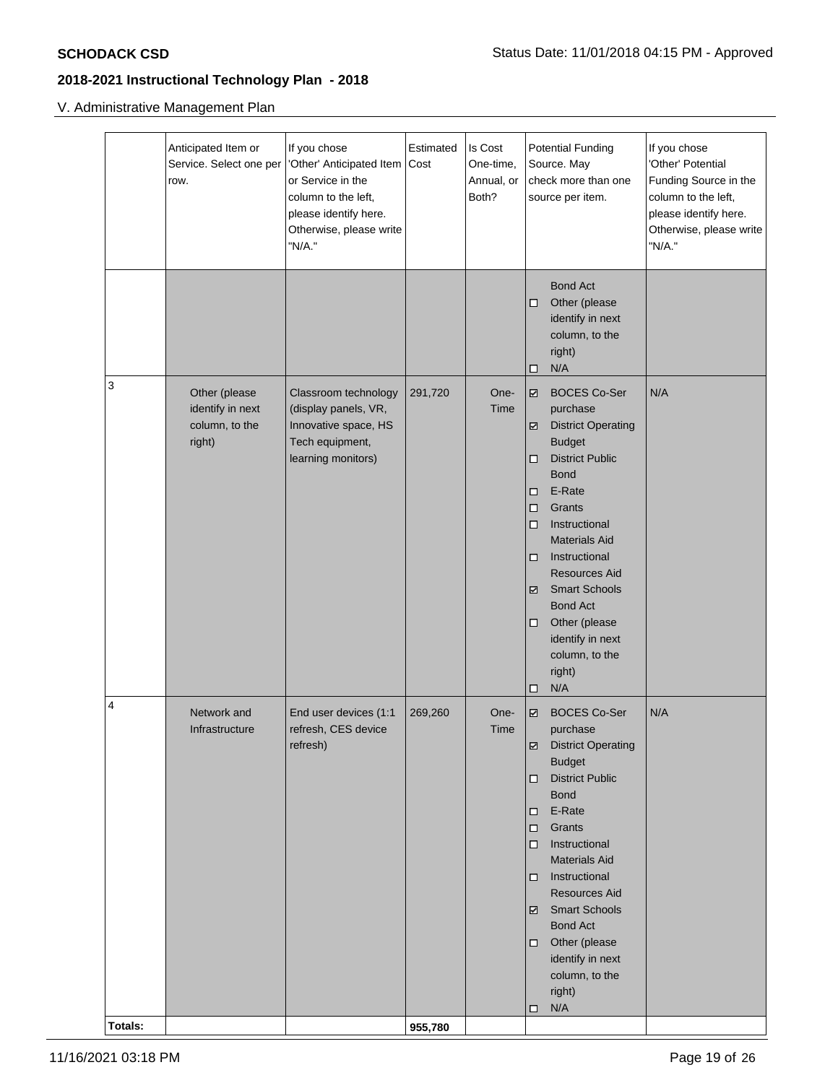# V. Administrative Management Plan

|         | Anticipated Item or<br>Service. Select one per<br>row.        | If you chose<br>'Other' Anticipated Item<br>or Service in the<br>column to the left,<br>please identify here.<br>Otherwise, please write<br>"N/A." | Estimated<br>Cost | Is Cost<br>One-time,<br>Annual, or<br>Both? | <b>Potential Funding</b><br>Source. May<br>check more than one<br>source per item.                                                                                                                                                                                                                                                                                                         | If you chose<br>'Other' Potential<br>Funding Source in the<br>column to the left,<br>please identify here.<br>Otherwise, please write<br>"N/A." |
|---------|---------------------------------------------------------------|----------------------------------------------------------------------------------------------------------------------------------------------------|-------------------|---------------------------------------------|--------------------------------------------------------------------------------------------------------------------------------------------------------------------------------------------------------------------------------------------------------------------------------------------------------------------------------------------------------------------------------------------|-------------------------------------------------------------------------------------------------------------------------------------------------|
|         |                                                               |                                                                                                                                                    |                   |                                             | <b>Bond Act</b><br>Other (please<br>□<br>identify in next<br>column, to the<br>right)<br>N/A<br>◻                                                                                                                                                                                                                                                                                          |                                                                                                                                                 |
| 3       | Other (please<br>identify in next<br>column, to the<br>right) | Classroom technology<br>(display panels, VR,<br>Innovative space, HS<br>Tech equipment,<br>learning monitors)                                      | 291,720           | One-<br>Time                                | <b>BOCES Co-Ser</b><br>☑<br>purchase<br><b>District Operating</b><br>☑<br><b>Budget</b><br><b>District Public</b><br>□<br><b>Bond</b><br>E-Rate<br>◻<br>Grants<br>□<br>Instructional<br>◻<br><b>Materials Aid</b><br>Instructional<br>◻<br>Resources Aid<br><b>Smart Schools</b><br>☑<br><b>Bond Act</b><br>Other (please<br>□<br>identify in next<br>column, to the<br>right)<br>N/A<br>□ | N/A                                                                                                                                             |
| 4       | Network and<br>Infrastructure                                 | End user devices (1:1<br>refresh, CES device<br>refresh)                                                                                           | 269,260           | One-<br>Time                                | <b>BOCES Co-Ser</b><br>☑<br>purchase<br>District Operating<br><b>Budget</b><br><b>District Public</b><br>□<br><b>Bond</b><br>E-Rate<br>□<br>Grants<br>$\Box$<br>Instructional<br>□<br><b>Materials Aid</b><br>Instructional<br>◻<br><b>Resources Aid</b><br><b>Smart Schools</b><br>☑<br><b>Bond Act</b><br>Other (please<br>□<br>identify in next<br>column, to the<br>right)<br>N/A<br>□ | N/A                                                                                                                                             |
| Totals: |                                                               |                                                                                                                                                    | 955,780           |                                             |                                                                                                                                                                                                                                                                                                                                                                                            |                                                                                                                                                 |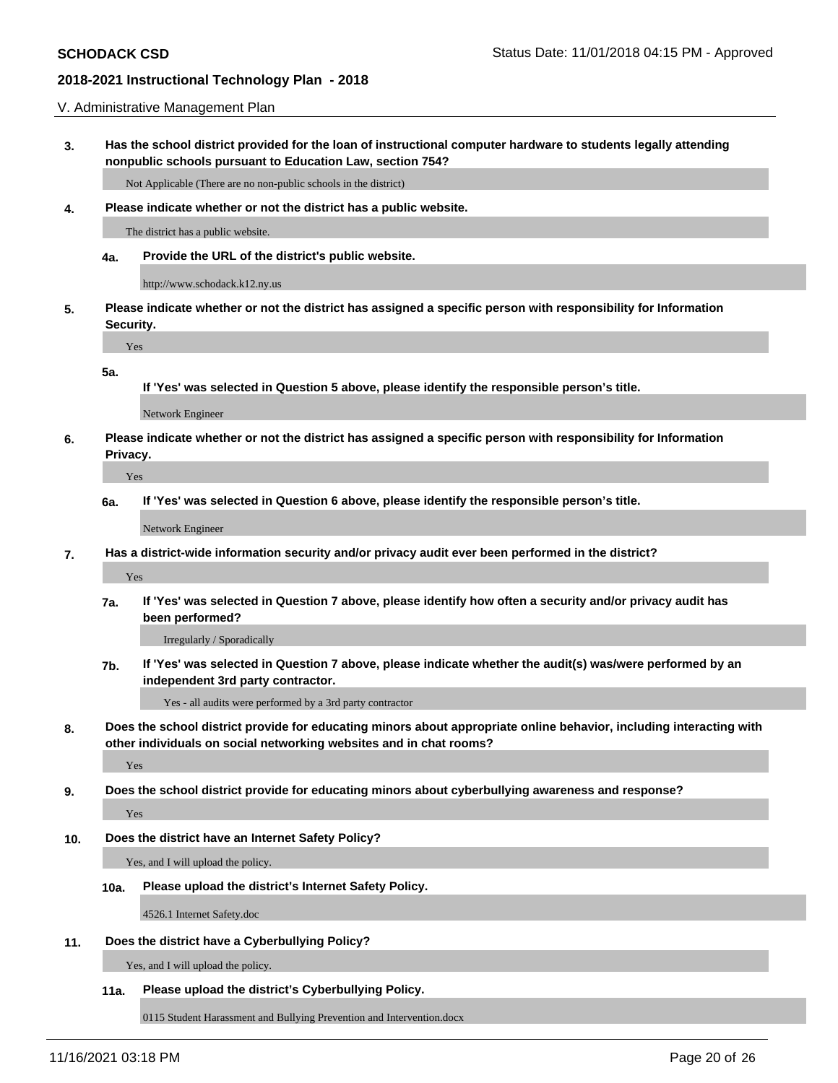V. Administrative Management Plan

**3. Has the school district provided for the loan of instructional computer hardware to students legally attending nonpublic schools pursuant to Education Law, section 754?**

Not Applicable (There are no non-public schools in the district)

**4. Please indicate whether or not the district has a public website.**

The district has a public website.

**4a. Provide the URL of the district's public website.**

http://www.schodack.k12.ny.us

**5. Please indicate whether or not the district has assigned a specific person with responsibility for Information Security.**

Yes

**5a.**

**If 'Yes' was selected in Question 5 above, please identify the responsible person's title.**

Network Engineer

**6. Please indicate whether or not the district has assigned a specific person with responsibility for Information Privacy.**

Yes

**6a. If 'Yes' was selected in Question 6 above, please identify the responsible person's title.**

Network Engineer

**7. Has a district-wide information security and/or privacy audit ever been performed in the district?**

Yes

**7a. If 'Yes' was selected in Question 7 above, please identify how often a security and/or privacy audit has been performed?**

Irregularly / Sporadically

**7b. If 'Yes' was selected in Question 7 above, please indicate whether the audit(s) was/were performed by an independent 3rd party contractor.**

Yes - all audits were performed by a 3rd party contractor

**8. Does the school district provide for educating minors about appropriate online behavior, including interacting with other individuals on social networking websites and in chat rooms?**

Yes

**9. Does the school district provide for educating minors about cyberbullying awareness and response?**

Yes

**10. Does the district have an Internet Safety Policy?**

Yes, and I will upload the policy.

**10a. Please upload the district's Internet Safety Policy.**

4526.1 Internet Safety.doc

**11. Does the district have a Cyberbullying Policy?**

Yes, and I will upload the policy.

**11a. Please upload the district's Cyberbullying Policy.**

0115 Student Harassment and Bullying Prevention and Intervention.docx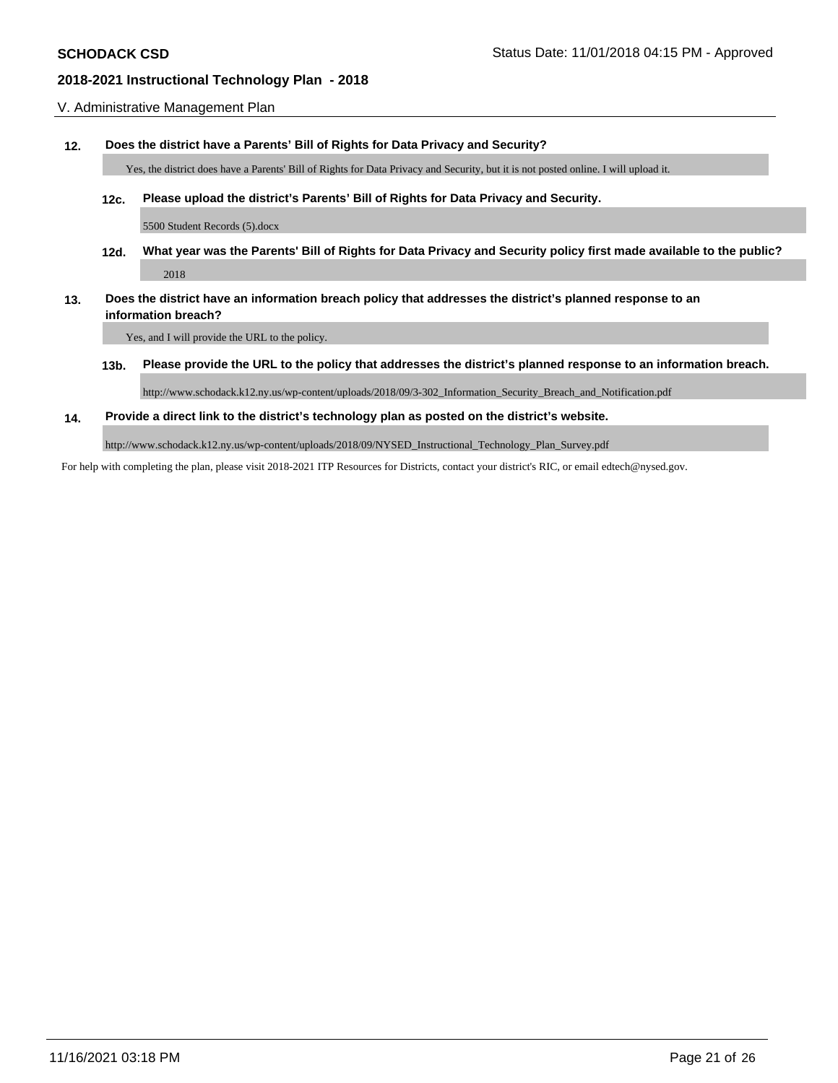#### V. Administrative Management Plan

#### **12. Does the district have a Parents' Bill of Rights for Data Privacy and Security?**

Yes, the district does have a Parents' Bill of Rights for Data Privacy and Security, but it is not posted online. I will upload it.

#### **12c. Please upload the district's Parents' Bill of Rights for Data Privacy and Security.**

5500 Student Records (5).docx

**12d. What year was the Parents' Bill of Rights for Data Privacy and Security policy first made available to the public?** 2018

## **13. Does the district have an information breach policy that addresses the district's planned response to an information breach?**

Yes, and I will provide the URL to the policy.

**13b. Please provide the URL to the policy that addresses the district's planned response to an information breach.**

http://www.schodack.k12.ny.us/wp-content/uploads/2018/09/3-302\_Information\_Security\_Breach\_and\_Notification.pdf

#### **14. Provide a direct link to the district's technology plan as posted on the district's website.**

http://www.schodack.k12.ny.us/wp-content/uploads/2018/09/NYSED\_Instructional\_Technology\_Plan\_Survey.pdf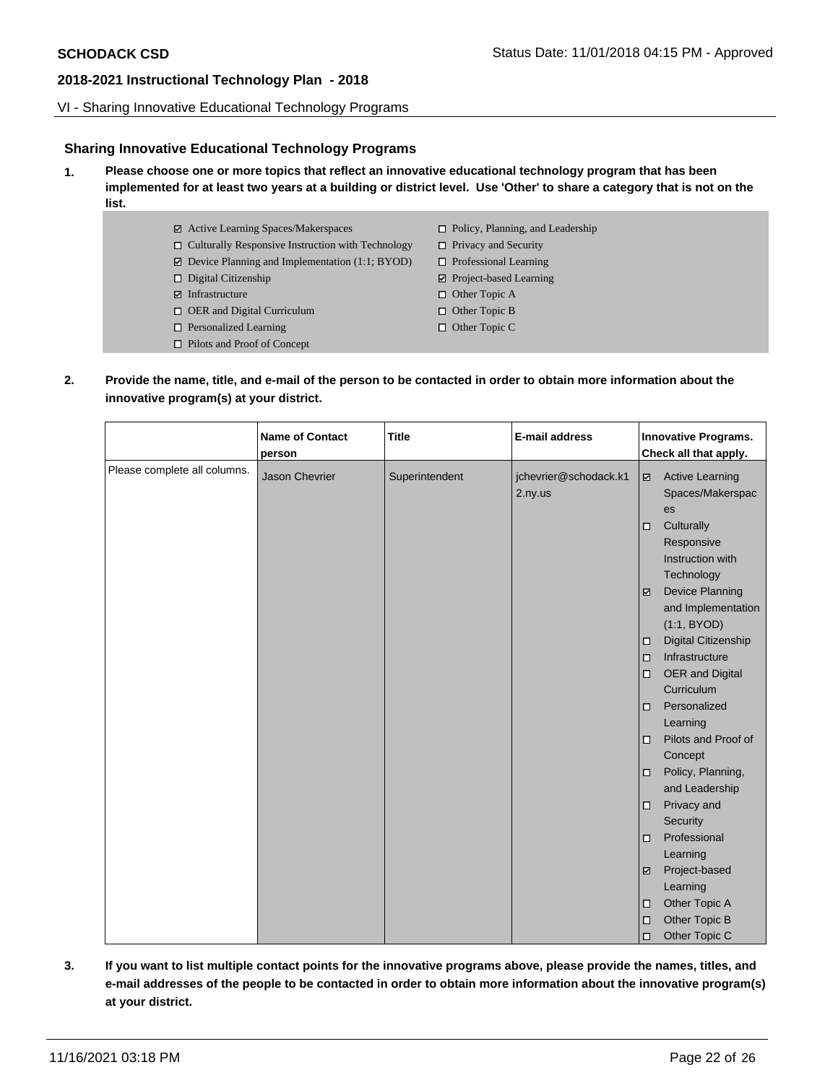VI - Sharing Innovative Educational Technology Programs

## **Sharing Innovative Educational Technology Programs**

- **1. Please choose one or more topics that reflect an innovative educational technology program that has been implemented for at least two years at a building or district level. Use 'Other' to share a category that is not on the list.**
	- Active Learning Spaces/Makerspaces
	- $\Box$  Culturally Responsive Instruction with Technology
		-
		- $\boxtimes$  Device Planning and Implementation (1:1; BYOD)
		- Digital Citizenship
		- Infrastructure
		- □ OER and Digital Curriculum
		- □ Personalized Learning
		- □ Pilots and Proof of Concept
- □ Policy, Planning, and Leadership
- $\Box$  Privacy and Security
- □ Professional Learning
- Project-based Learning
- □ Other Topic A
- □ Other Topic B
- □ Other Topic C
- **2. Provide the name, title, and e-mail of the person to be contacted in order to obtain more information about the innovative program(s) at your district.**

|                              | <b>Name of Contact</b><br>person | <b>Title</b>   | <b>E-mail address</b>            | <b>Innovative Programs.</b><br>Check all that apply.                         |  |
|------------------------------|----------------------------------|----------------|----------------------------------|------------------------------------------------------------------------------|--|
| Please complete all columns. | <b>Jason Chevrier</b>            | Superintendent | jchevrier@schodack.k1<br>2.ny.us | <b>Active Learning</b><br>$\overline{\mathcal{L}}$<br>Spaces/Makerspac<br>es |  |
|                              |                                  |                |                                  | Culturally<br>П<br>Responsive<br>Instruction with<br>Technology              |  |
|                              |                                  |                |                                  | <b>Device Planning</b><br>☑<br>and Implementation<br>(1:1, BYOD)             |  |
|                              |                                  |                |                                  | Digital Citizenship<br>□                                                     |  |
|                              |                                  |                |                                  | Infrastructure<br>$\Box$                                                     |  |
|                              |                                  |                |                                  | OER and Digital<br>$\Box$                                                    |  |
|                              |                                  |                |                                  | Curriculum                                                                   |  |
|                              |                                  |                |                                  | Personalized<br>$\Box$<br>Learning                                           |  |
|                              |                                  |                |                                  | Pilots and Proof of<br>◻<br>Concept                                          |  |
|                              |                                  |                |                                  | Policy, Planning,<br>◻                                                       |  |
|                              |                                  |                |                                  | and Leadership                                                               |  |
|                              |                                  |                |                                  | Privacy and<br>$\Box$                                                        |  |
|                              |                                  |                |                                  | Security                                                                     |  |
|                              |                                  |                |                                  | Professional<br>о                                                            |  |
|                              |                                  |                |                                  | Learning                                                                     |  |
|                              |                                  |                |                                  | Project-based<br>☑                                                           |  |
|                              |                                  |                |                                  | Learning                                                                     |  |
|                              |                                  |                |                                  | Other Topic A<br>$\Box$                                                      |  |
|                              |                                  |                |                                  | Other Topic B<br>$\Box$                                                      |  |
|                              |                                  |                |                                  | Other Topic C<br>◻                                                           |  |

**3. If you want to list multiple contact points for the innovative programs above, please provide the names, titles, and e-mail addresses of the people to be contacted in order to obtain more information about the innovative program(s) at your district.**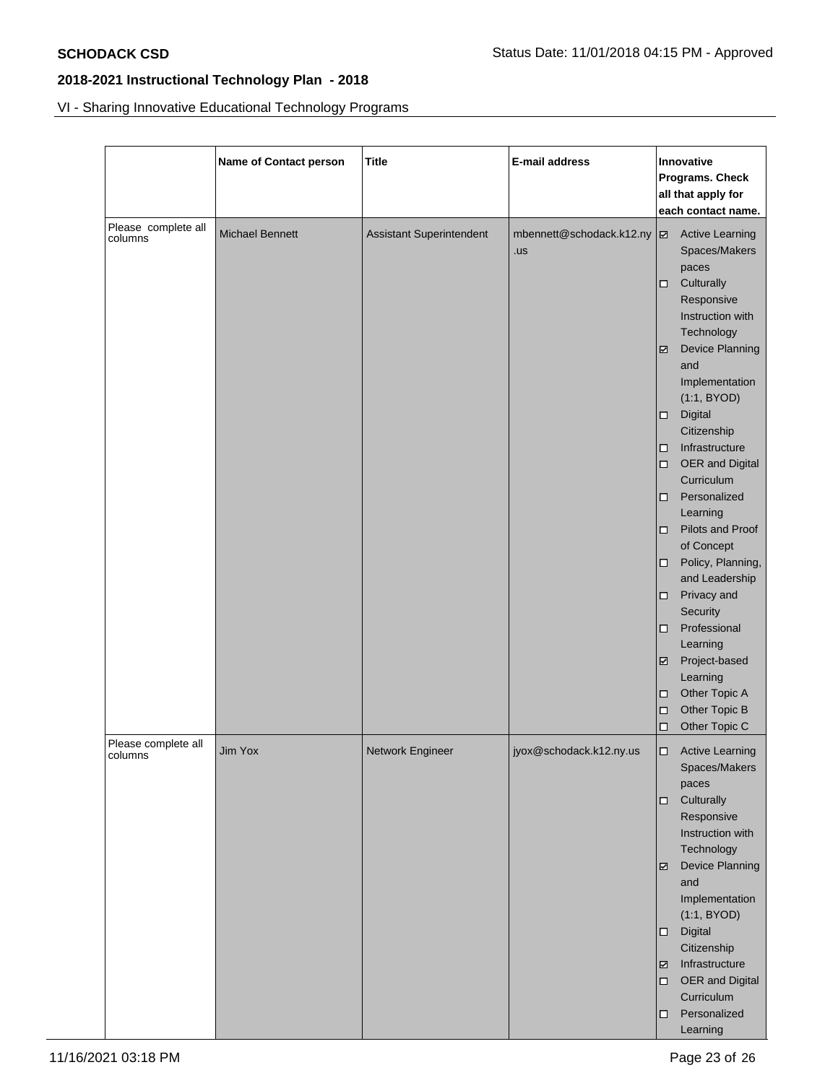VI - Sharing Innovative Educational Technology Programs

|                                | <b>Name of Contact person</b> | <b>Title</b>             | E-mail address           | Innovative<br>Programs. Check |                                          |  |
|--------------------------------|-------------------------------|--------------------------|--------------------------|-------------------------------|------------------------------------------|--|
|                                |                               |                          |                          |                               | all that apply for<br>each contact name. |  |
| Please complete all<br>columns | <b>Michael Bennett</b>        | Assistant Superintendent | mbennett@schodack.k12.ny | $\overline{\mathbb{Z}}$       | <b>Active Learning</b>                   |  |
|                                |                               |                          | .us                      |                               | Spaces/Makers<br>paces                   |  |
|                                |                               |                          |                          | ◻                             | Culturally                               |  |
|                                |                               |                          |                          |                               | Responsive                               |  |
|                                |                               |                          |                          |                               | Instruction with                         |  |
|                                |                               |                          |                          |                               | Technology                               |  |
|                                |                               |                          |                          | ☑                             | Device Planning                          |  |
|                                |                               |                          |                          |                               | and                                      |  |
|                                |                               |                          |                          |                               | Implementation                           |  |
|                                |                               |                          |                          | □                             | (1:1, BYOD)<br>Digital                   |  |
|                                |                               |                          |                          |                               | Citizenship                              |  |
|                                |                               |                          |                          | ◻                             | Infrastructure                           |  |
|                                |                               |                          |                          | □                             | <b>OER</b> and Digital                   |  |
|                                |                               |                          |                          |                               | Curriculum                               |  |
|                                |                               |                          |                          | ◻                             | Personalized                             |  |
|                                |                               |                          |                          |                               | Learning                                 |  |
|                                |                               |                          |                          | □                             | Pilots and Proof                         |  |
|                                |                               |                          |                          |                               | of Concept                               |  |
|                                |                               |                          |                          | ◻                             | Policy, Planning,<br>and Leadership      |  |
|                                |                               |                          |                          | ◻                             | Privacy and                              |  |
|                                |                               |                          |                          |                               | Security                                 |  |
|                                |                               |                          |                          | ◻                             | Professional                             |  |
|                                |                               |                          |                          |                               | Learning                                 |  |
|                                |                               |                          |                          | ☑                             | Project-based                            |  |
|                                |                               |                          |                          |                               | Learning                                 |  |
|                                |                               |                          |                          | □                             | Other Topic A                            |  |
|                                |                               |                          |                          | □<br>□                        | Other Topic B<br>Other Topic C           |  |
| Please complete all            |                               |                          |                          |                               |                                          |  |
| columns                        | Jim Yox                       | Network Engineer         | jyox@schodack.k12.ny.us  | □                             | <b>Active Learning</b>                   |  |
|                                |                               |                          |                          |                               | Spaces/Makers<br>paces                   |  |
|                                |                               |                          |                          | □                             | Culturally                               |  |
|                                |                               |                          |                          |                               | Responsive                               |  |
|                                |                               |                          |                          |                               | Instruction with                         |  |
|                                |                               |                          |                          |                               | Technology                               |  |
|                                |                               |                          |                          | ☑                             | <b>Device Planning</b>                   |  |
|                                |                               |                          |                          |                               | and                                      |  |
|                                |                               |                          |                          |                               | Implementation                           |  |
|                                |                               |                          |                          |                               | (1:1, BYOD)                              |  |
|                                |                               |                          |                          | □                             | Digital<br>Citizenship                   |  |
|                                |                               |                          |                          | ⊻                             | Infrastructure                           |  |
|                                |                               |                          |                          | □                             | OER and Digital                          |  |
|                                |                               |                          |                          |                               | Curriculum                               |  |
|                                |                               |                          |                          | □                             | Personalized                             |  |
|                                |                               |                          |                          |                               | Learning                                 |  |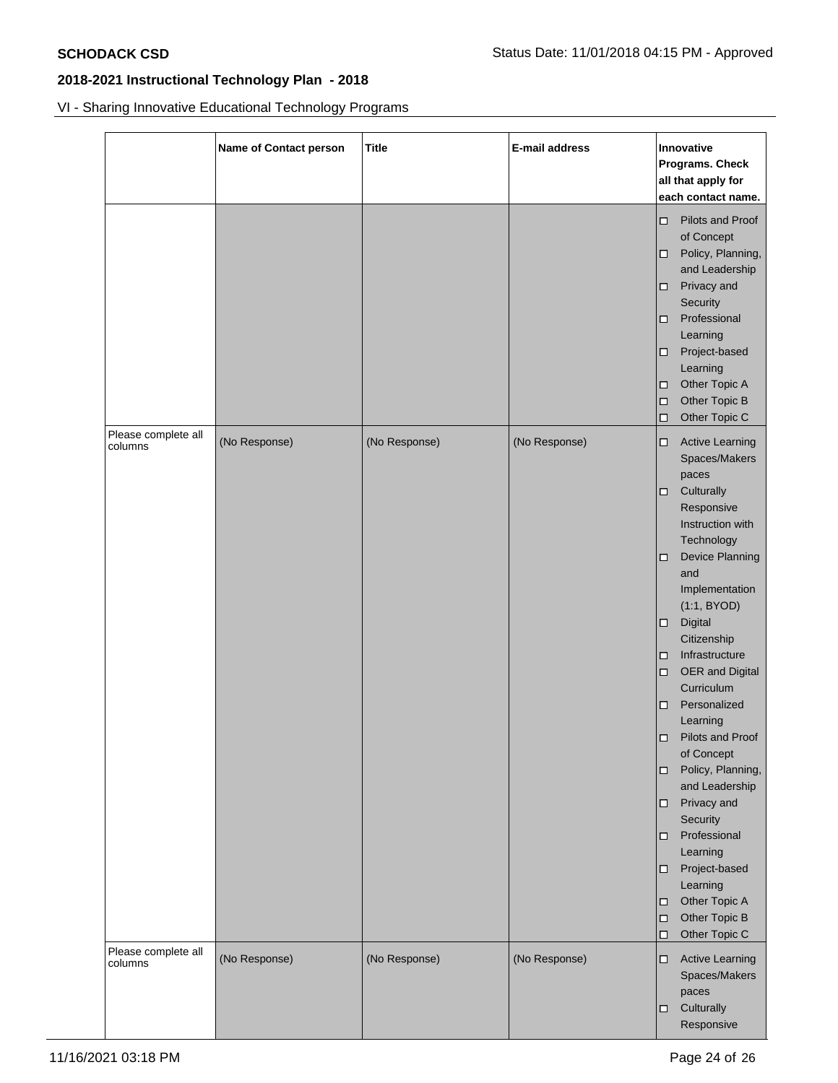VI - Sharing Innovative Educational Technology Programs

|                                | <b>Name of Contact person</b> | <b>Title</b>  | E-mail address | Innovative<br>Programs. Check<br>all that apply for<br>each contact name.                                                                                                                                                                                                                                                                                                                                                                                                                                                                                                            |
|--------------------------------|-------------------------------|---------------|----------------|--------------------------------------------------------------------------------------------------------------------------------------------------------------------------------------------------------------------------------------------------------------------------------------------------------------------------------------------------------------------------------------------------------------------------------------------------------------------------------------------------------------------------------------------------------------------------------------|
|                                |                               |               |                | Pilots and Proof<br>□<br>of Concept<br>Policy, Planning,<br>and Leadership<br>Privacy and<br>Security<br>Professional<br>Learning<br>Project-based<br>Learning<br>Other Topic A<br>о<br>Other Topic B<br>$\Box$<br>Other Topic C<br>□                                                                                                                                                                                                                                                                                                                                                |
| Please complete all<br>columns | (No Response)                 | (No Response) | (No Response)  | <b>Active Learning</b><br>□<br>Spaces/Makers<br>paces<br>Culturally<br>Responsive<br>Instruction with<br>Technology<br><b>Device Planning</b><br>□<br>and<br>Implementation<br>(1:1, BYOD)<br>Digital<br>$\Box$<br>Citizenship<br>Infrastructure<br>□<br>OER and Digital<br>о<br>Curriculum<br>Personalized<br>□<br>Learning<br>Pilots and Proof<br>□<br>of Concept<br>Policy, Planning,<br>□<br>and Leadership<br>Privacy and<br>□<br>Security<br>Professional<br>□<br>Learning<br>Project-based<br>□<br>Learning<br>Other Topic A<br>◻<br>Other Topic B<br>□<br>Other Topic C<br>□ |
| Please complete all<br>columns | (No Response)                 | (No Response) | (No Response)  | <b>Active Learning</b><br>□<br>Spaces/Makers<br>paces<br>Culturally<br>□<br>Responsive                                                                                                                                                                                                                                                                                                                                                                                                                                                                                               |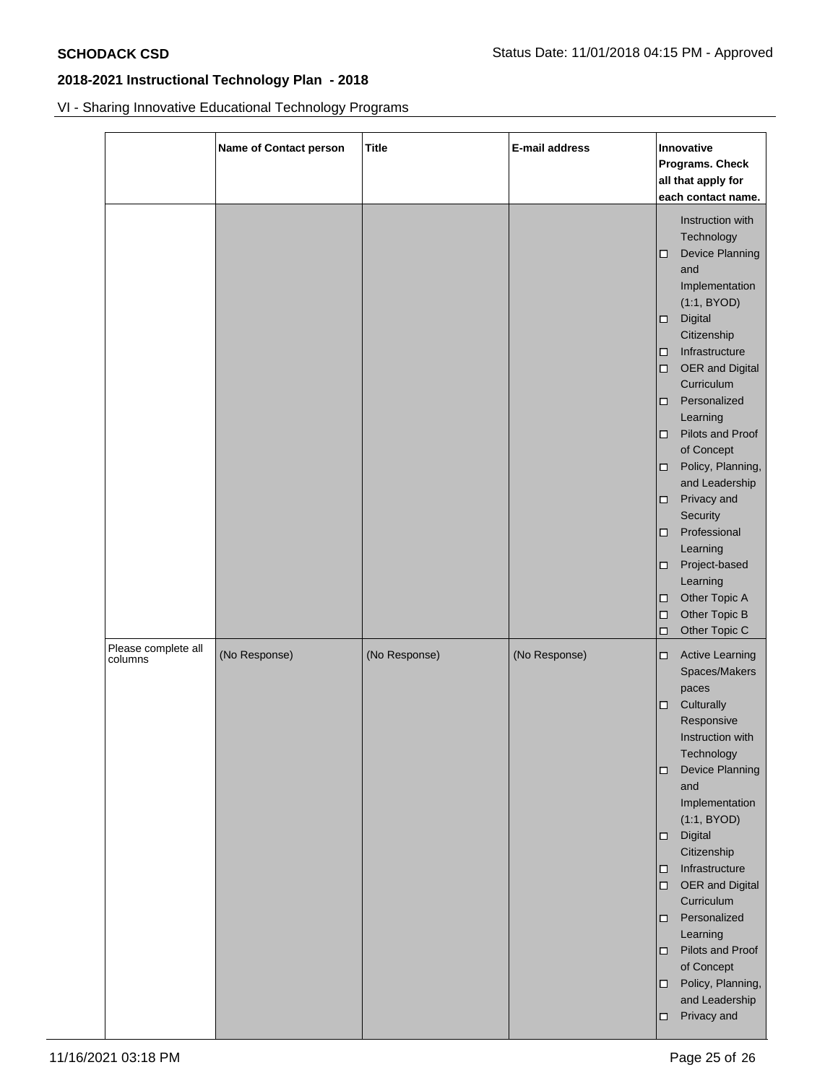VI - Sharing Innovative Educational Technology Programs

|                                | <b>Name of Contact person</b> | <b>Title</b>  | E-mail address | Innovative<br>Programs. Check<br>all that apply for<br>each contact name.                                                                                                                                                                                                                                                                                                                                                                                                                                 |  |
|--------------------------------|-------------------------------|---------------|----------------|-----------------------------------------------------------------------------------------------------------------------------------------------------------------------------------------------------------------------------------------------------------------------------------------------------------------------------------------------------------------------------------------------------------------------------------------------------------------------------------------------------------|--|
|                                |                               |               |                | Instruction with<br>Technology<br><b>Device Planning</b><br>□<br>and<br>Implementation<br>(1:1, BYOD)<br>Digital<br>о<br>Citizenship<br>Infrastructure<br>□<br>OER and Digital<br>□<br>Curriculum<br>Personalized<br>□<br>Learning<br>Pilots and Proof<br>□<br>of Concept<br>Policy, Planning,<br>□<br>and Leadership<br>Privacy and<br>□<br>Security<br>Professional<br>$\Box$<br>Learning<br>Project-based<br>□<br>Learning<br>Other Topic A<br>□<br>Other Topic B<br>$\Box$<br>Other Topic C<br>$\Box$ |  |
| Please complete all<br>columns | (No Response)                 | (No Response) | (No Response)  | <b>Active Learning</b><br>$\Box$<br>Spaces/Makers<br>paces<br>Culturally<br>$\Box$<br>Responsive<br>Instruction with<br>Technology<br>Device Planning<br>◻<br>and<br>Implementation<br>(1:1, BYOD)<br>Digital<br>$\Box$<br>Citizenship<br>Infrastructure<br>$\Box$<br>OER and Digital<br>$\Box$<br>Curriculum<br>Personalized<br>□<br>Learning<br>Pilots and Proof<br>0<br>of Concept<br>Policy, Planning,<br>0<br>and Leadership<br>Privacy and<br>□                                                     |  |